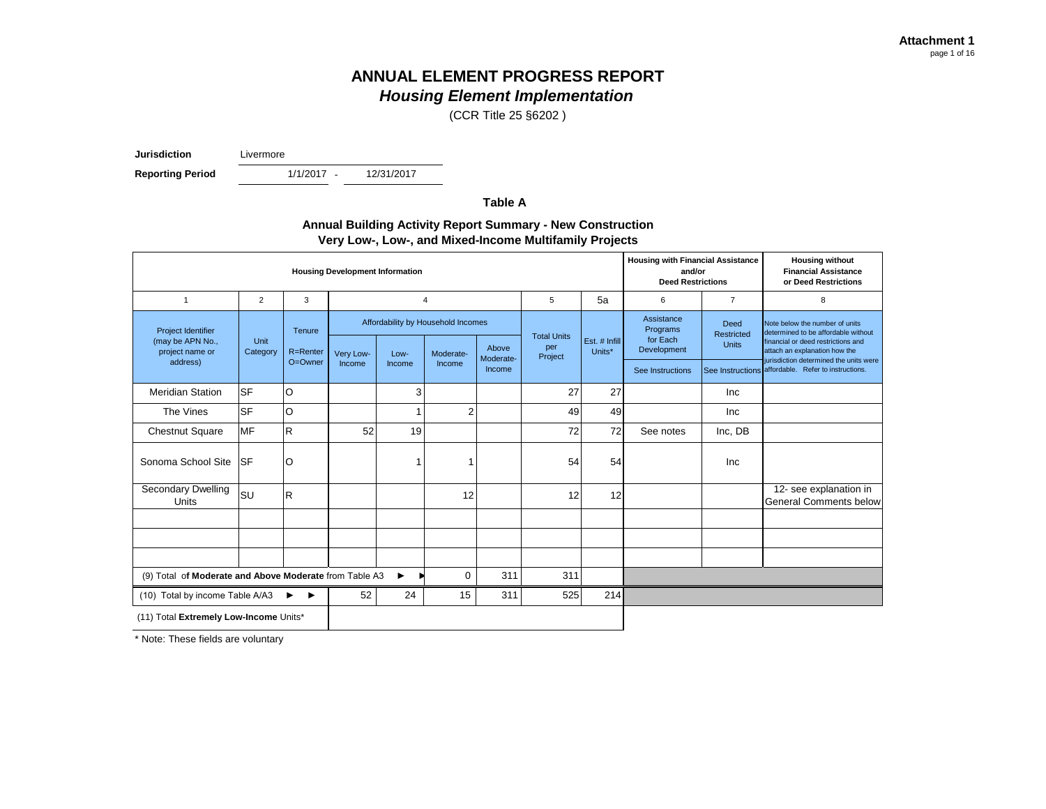(CCR Title 25 §6202 )

**Jurisdiction** Livermore

**Reporting Period** 

1/1/2017 -

12/31/2017

**Table A**

### **Annual Building Activity Report Summary - New Construction Very Low-, Low-, and Mixed-Income Multifamily Projects**

| <b>Housing Development Information</b>                    |                  |                    |           |        |                                                          |                     |                                                                 |     |                                                   | <b>Housing with Financial Assistance</b><br>and/or<br><b>Deed Restrictions</b> | <b>Housing without</b><br><b>Financial Assistance</b><br>or Deed Restrictions                                                                |
|-----------------------------------------------------------|------------------|--------------------|-----------|--------|----------------------------------------------------------|---------------------|-----------------------------------------------------------------|-----|---------------------------------------------------|--------------------------------------------------------------------------------|----------------------------------------------------------------------------------------------------------------------------------------------|
| $\mathbf{1}$                                              | 2                | 3                  |           |        | $\overline{4}$                                           |                     | 5                                                               | 5a  | 6                                                 | $\overline{7}$                                                                 | 8                                                                                                                                            |
| Project Identifier<br>(may be APN No.,<br>project name or | Unit<br>Category | Tenure<br>R=Renter | Very Low- | Low-   | Affordability by Household Incomes<br>Above<br>Moderate- |                     | <b>Total Units</b><br>Est. # Infill<br>per<br>Units*<br>Project |     | Assistance<br>Programs<br>for Each<br>Development | Deed<br>Restricted<br><b>Units</b>                                             | Note below the number of units<br>determined to be affordable without<br>financial or deed restrictions and<br>attach an explanation how the |
| address)                                                  |                  | O=Owner            | Income    | Income | Income                                                   | Moderate-<br>Income |                                                                 |     | See Instructions                                  |                                                                                | jurisdiction determined the units were<br>See Instructions affordable. Refer to instructions.                                                |
| <b>Meridian Station</b>                                   | <b>SF</b>        | O                  |           | 3      |                                                          |                     | 27                                                              | 27  |                                                   | <b>Inc</b>                                                                     |                                                                                                                                              |
| The Vines                                                 | <b>SF</b>        | O                  |           | -1     | $\overline{2}$                                           |                     | 49                                                              | 49  |                                                   | Inc                                                                            |                                                                                                                                              |
| <b>Chestnut Square</b>                                    | <b>MF</b>        | $\mathsf{R}$       | 52        | 19     |                                                          |                     | 72                                                              | 72  | See notes                                         | Inc, DB                                                                        |                                                                                                                                              |
| Sonoma School Site                                        | <b>SF</b>        | O                  |           | 1      |                                                          |                     | 54                                                              | 54  |                                                   | Inc                                                                            |                                                                                                                                              |
| Secondary Dwelling<br>Units                               | SU               | $\mathsf{R}$       |           |        | 12                                                       |                     | 12                                                              | 12  |                                                   |                                                                                | 12- see explanation in<br><b>General Comments below</b>                                                                                      |
|                                                           |                  |                    |           |        |                                                          |                     |                                                                 |     |                                                   |                                                                                |                                                                                                                                              |
|                                                           |                  |                    |           |        |                                                          |                     |                                                                 |     |                                                   |                                                                                |                                                                                                                                              |
| (9) Total of Moderate and Above Moderate from Table A3    |                  |                    |           | ▸      | 0                                                        | 311                 | 311                                                             |     |                                                   |                                                                                |                                                                                                                                              |
| 52<br>24<br>(10) Total by income Table A/A3<br>▸<br>▸     |                  |                    |           |        | 15                                                       | 311                 | 525                                                             | 214 |                                                   |                                                                                |                                                                                                                                              |
| (11) Total Extremely Low-Income Units*                    |                  |                    |           |        |                                                          |                     |                                                                 |     |                                                   |                                                                                |                                                                                                                                              |

\* Note: These fields are voluntary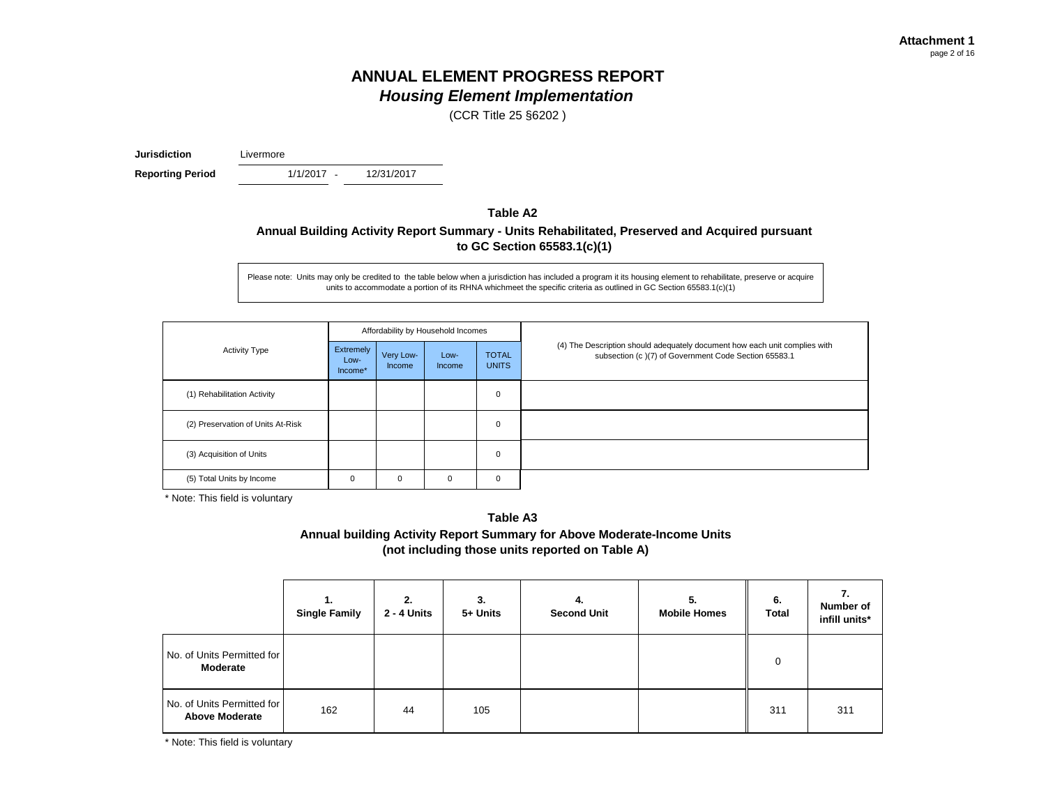(CCR Title 25 §6202 )

**Jurisdiction** Livermore

**Reporting Period** 

1/1/2017 - 12/31/2017

## **Table A2 Annual Building Activity Report Summary - Units Rehabilitated, Preserved and Acquired pursuant to GC Section 65583.1(c)(1)**

Please note: Units may only be credited to the table below when a jurisdiction has included a program it its housing element to rehabilitate, preserve or acquire units to accommodate a portion of its RHNA whichmeet the specific criteria as outlined in GC Section 65583.1(c)(1)

|                                   |                              |                            | Affordability by Household Incomes |                              |                                                                                                                                    |
|-----------------------------------|------------------------------|----------------------------|------------------------------------|------------------------------|------------------------------------------------------------------------------------------------------------------------------------|
| <b>Activity Type</b>              | Extremely<br>Low-<br>Income* | Very Low-<br><b>Income</b> | Low-<br>Income                     | <b>TOTAL</b><br><b>UNITS</b> | (4) The Description should adequately document how each unit complies with<br>subsection (c)(7) of Government Code Section 65583.1 |
| (1) Rehabilitation Activity       |                              |                            |                                    | $\mathbf 0$                  |                                                                                                                                    |
| (2) Preservation of Units At-Risk |                              |                            |                                    | 0                            |                                                                                                                                    |
| (3) Acquisition of Units          |                              |                            |                                    | $\mathbf 0$                  |                                                                                                                                    |
| (5) Total Units by Income         | 0                            | 0                          | 0                                  | $\mathbf 0$                  |                                                                                                                                    |

\* Note: This field is voluntary

**Annual building Activity Report Summary for Above Moderate-Income Units (not including those units reported on Table A) Table A3**

|                                                     | <b>Single Family</b> | 2.<br>2 - 4 Units | 3.<br>5+ Units | 4.<br><b>Second Unit</b> | 5.<br><b>Mobile Homes</b> | 6.<br><b>Total</b> | 7.<br>Number of<br>infill units* |
|-----------------------------------------------------|----------------------|-------------------|----------------|--------------------------|---------------------------|--------------------|----------------------------------|
| No. of Units Permitted for<br>Moderate              |                      |                   |                |                          |                           | 0                  |                                  |
| No. of Units Permitted for<br><b>Above Moderate</b> | 162                  | 44                | 105            |                          |                           | 311                | 311                              |

\* Note: This field is voluntary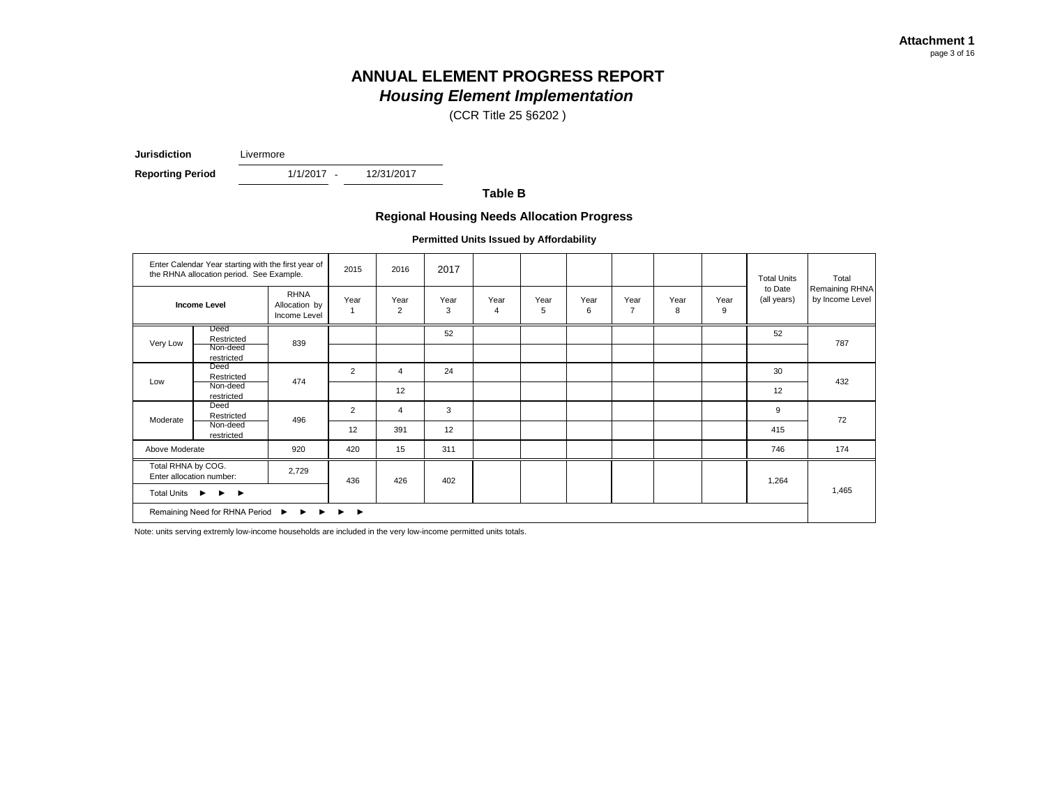(CCR Title 25 §6202 )

**Jurisdiction** Livermore

**Reporting Period** 

1/1/2017 - 12/31/2017

**Table B**

#### **Regional Housing Needs Allocation Progress**

**Permitted Units Issued by Affordability**

|                                                              | Enter Calendar Year starting with the first year of<br>the RHNA allocation period. See Example. |                                              | 2015                                   | 2016      | 2017      |                        |           |           |                        |           |           | <b>Total Units</b>     | Total                             |
|--------------------------------------------------------------|-------------------------------------------------------------------------------------------------|----------------------------------------------|----------------------------------------|-----------|-----------|------------------------|-----------|-----------|------------------------|-----------|-----------|------------------------|-----------------------------------|
|                                                              | <b>Income Level</b>                                                                             | <b>RHNA</b><br>Allocation by<br>Income Level | Year                                   | Year<br>2 | Year<br>3 | Year<br>$\overline{4}$ | Year<br>5 | Year<br>6 | Year<br>$\overline{7}$ | Year<br>8 | Year<br>9 | to Date<br>(all years) | Remaining RHNA<br>by Income Level |
| Very Low                                                     | Deed<br>Restricted<br>Non-deed<br>restricted                                                    | 839                                          |                                        |           | 52        |                        |           |           |                        |           |           | 52                     | 787                               |
| Low                                                          | Deed<br>Restricted                                                                              | 474                                          | 2                                      | 4         | 24        |                        |           |           |                        |           |           | 30                     | 432                               |
|                                                              | Non-deed<br>restricted                                                                          |                                              |                                        | 12        |           |                        |           |           |                        |           |           | 12                     |                                   |
| Moderate                                                     | Deed<br>Restricted                                                                              | 496                                          | $\overline{2}$                         | 4         | 3         |                        |           |           |                        |           |           | 9                      | 72                                |
|                                                              | Non-deed<br>restricted                                                                          |                                              | 12                                     | 391       | 12        |                        |           |           |                        |           |           | 415                    |                                   |
| Above Moderate                                               |                                                                                                 | 920                                          | 420                                    | 15        | 311       |                        |           |           |                        |           |           | 746                    | 174                               |
| Total RHNA by COG.                                           | 2,729<br>Enter allocation number:                                                               |                                              | 436                                    | 426       | 402       |                        |           |           |                        |           |           | 1,264                  |                                   |
| Total Units ▶<br>$\blacktriangleright$ $\blacktriangleright$ |                                                                                                 |                                              |                                        |           |           |                        |           |           |                        |           |           |                        | 1,465                             |
|                                                              | Remaining Need for RHNA Period ▶ ▶ ▶                                                            |                                              | $\blacktriangleright$<br>$\rightarrow$ |           |           |                        |           |           |                        |           |           |                        |                                   |

Note: units serving extremly low-income households are included in the very low-income permitted units totals.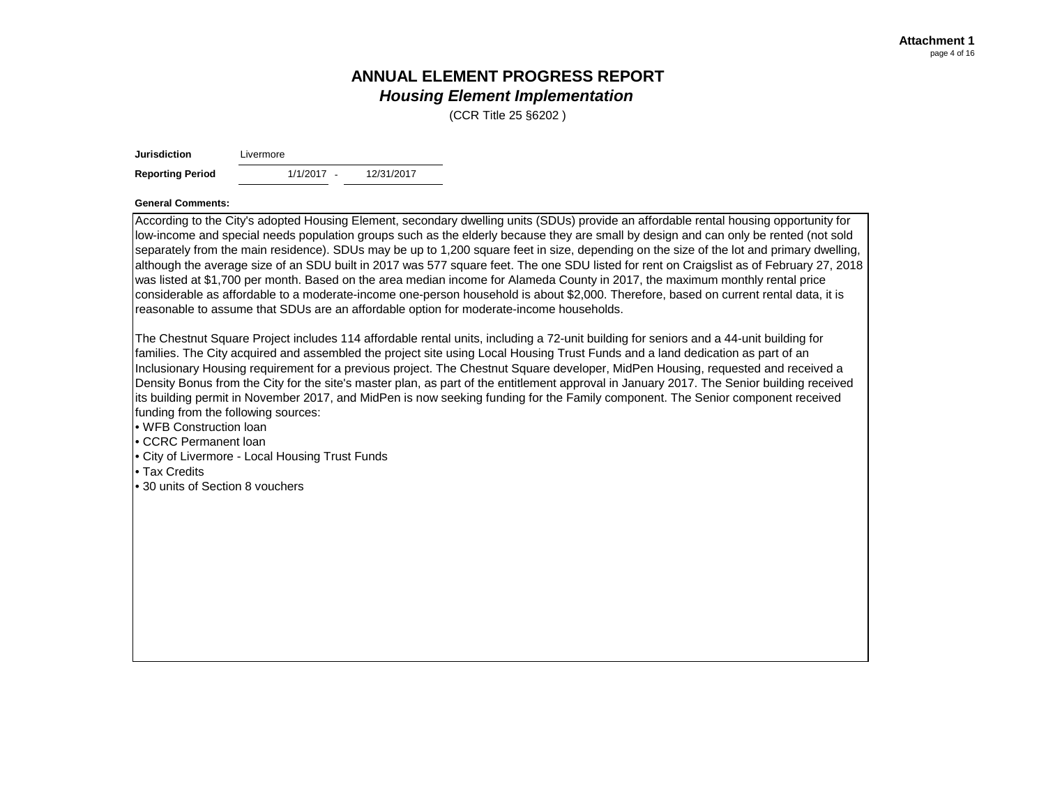(CCR Title 25 §6202 )

| <b>Jurisdiction</b>                                                                                                                         | Livermore                                       |            |                                                                                                                                                                                                                                                                                                                                                                                                                                                                                                                                                                                                                                                                                                                                                                                                                                                                                                                                            |
|---------------------------------------------------------------------------------------------------------------------------------------------|-------------------------------------------------|------------|--------------------------------------------------------------------------------------------------------------------------------------------------------------------------------------------------------------------------------------------------------------------------------------------------------------------------------------------------------------------------------------------------------------------------------------------------------------------------------------------------------------------------------------------------------------------------------------------------------------------------------------------------------------------------------------------------------------------------------------------------------------------------------------------------------------------------------------------------------------------------------------------------------------------------------------------|
| <b>Reporting Period</b>                                                                                                                     | $1/1/2017 -$                                    | 12/31/2017 |                                                                                                                                                                                                                                                                                                                                                                                                                                                                                                                                                                                                                                                                                                                                                                                                                                                                                                                                            |
| <b>General Comments:</b>                                                                                                                    |                                                 |            |                                                                                                                                                                                                                                                                                                                                                                                                                                                                                                                                                                                                                                                                                                                                                                                                                                                                                                                                            |
|                                                                                                                                             |                                                 |            | According to the City's adopted Housing Element, secondary dwelling units (SDUs) provide an affordable rental housing opportunity for<br>low-income and special needs population groups such as the elderly because they are small by design and can only be rented (not sold<br>separately from the main residence). SDUs may be up to 1,200 square feet in size, depending on the size of the lot and primary dwelling,<br>although the average size of an SDU built in 2017 was 577 square feet. The one SDU listed for rent on Craigslist as of February 27, 2018<br>was listed at \$1,700 per month. Based on the area median income for Alameda County in 2017, the maximum monthly rental price<br>considerable as affordable to a moderate-income one-person household is about \$2,000. Therefore, based on current rental data, it is<br>reasonable to assume that SDUs are an affordable option for moderate-income households. |
| funding from the following sources:<br>. WFB Construction loan<br>CCRC Permanent loan<br>l• Tax Credits<br>• 30 units of Section 8 vouchers | • City of Livermore - Local Housing Trust Funds |            | The Chestnut Square Project includes 114 affordable rental units, including a 72-unit building for seniors and a 44-unit building for<br>families. The City acquired and assembled the project site using Local Housing Trust Funds and a land dedication as part of an<br>Inclusionary Housing requirement for a previous project. The Chestnut Square developer, MidPen Housing, requested and received a<br>Density Bonus from the City for the site's master plan, as part of the entitlement approval in January 2017. The Senior building received<br>its building permit in November 2017, and MidPen is now seeking funding for the Family component. The Senior component received                                                                                                                                                                                                                                                |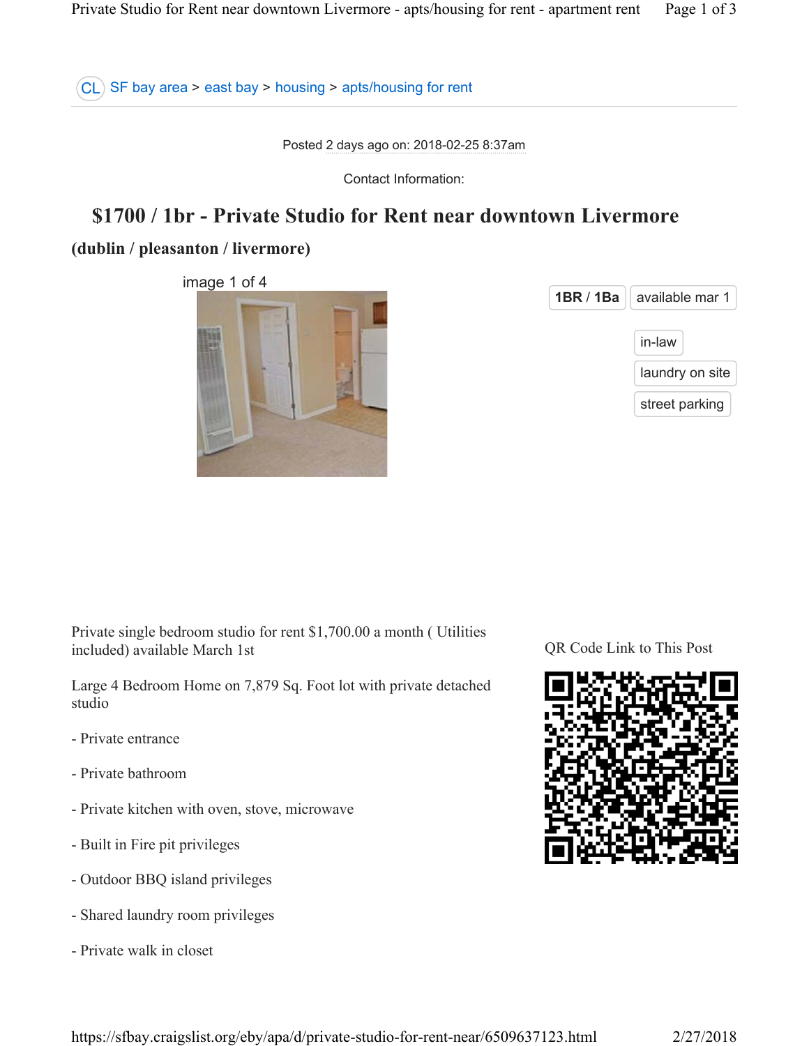CL SF bay area > east bay > housing > apts/housing for rent

Posted 2 days ago on: 2018-02-25 8:37am

Contact Information:

# **\$1700 / 1br - Private Studio for Rent near downtown Livermore**

## **(dublin / pleasanton / livermore)**

image 1 of 4

| 1BR / 1Ba | ∣ available mar 1 |
|-----------|-------------------|
|           | in-law            |
|           | laundry on site   |
|           | street parking    |

Private single bedroom studio for rent \$1,700.00 a month ( Utilities included) available March 1st

Large 4 Bedroom Home on 7,879 Sq. Foot lot with private detached studio

- Private entrance
- Private bathroom
- Private kitchen with oven, stove, microwave
- Built in Fire pit privileges
- Outdoor BBQ island privileges
- Shared laundry room privileges
- Private walk in closet

QR Code Link to This Post

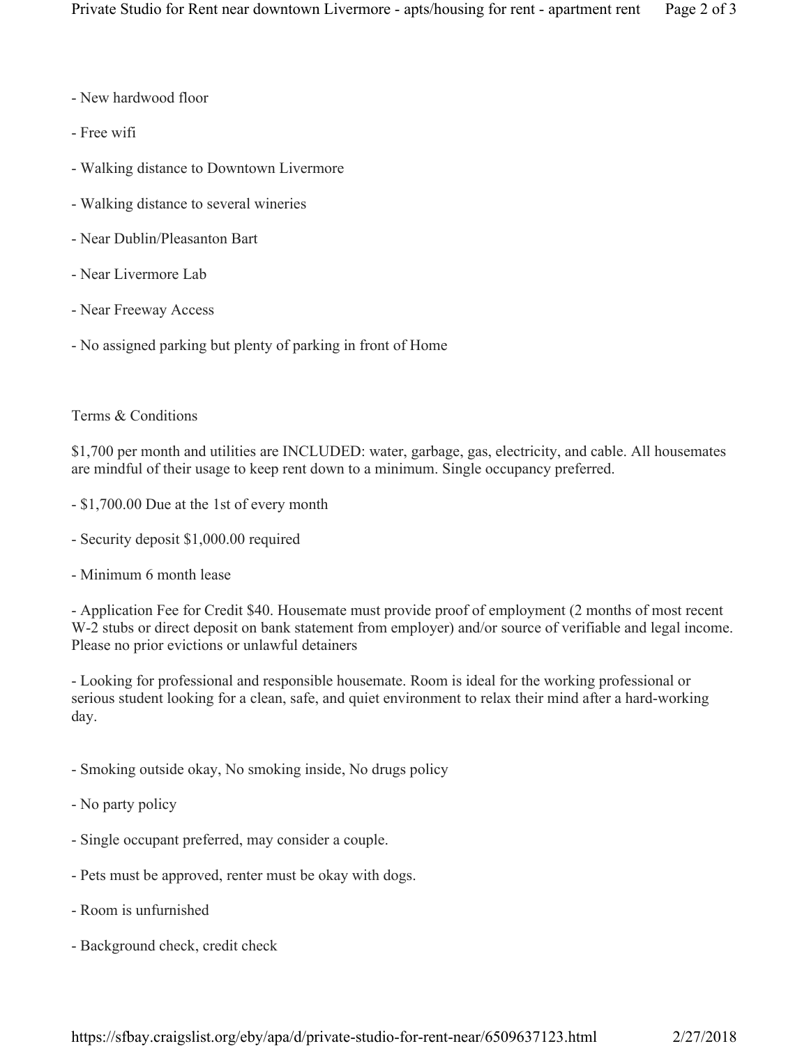- New hardwood floor
- Free wifi
- Walking distance to Downtown Livermore
- Walking distance to several wineries
- Near Dublin/Pleasanton Bart
- Near Livermore Lab
- Near Freeway Access
- No assigned parking but plenty of parking in front of Home

## Terms & Conditions

\$1,700 per month and utilities are INCLUDED: water, garbage, gas, electricity, and cable. All housemates are mindful of their usage to keep rent down to a minimum. Single occupancy preferred.

- \$1,700.00 Due at the 1st of every month
- Security deposit \$1,000.00 required
- Minimum 6 month lease

- Application Fee for Credit \$40. Housemate must provide proof of employment (2 months of most recent W-2 stubs or direct deposit on bank statement from employer) and/or source of verifiable and legal income. Please no prior evictions or unlawful detainers

- Looking for professional and responsible housemate. Room is ideal for the working professional or serious student looking for a clean, safe, and quiet environment to relax their mind after a hard-working day.

- Smoking outside okay, No smoking inside, No drugs policy
- No party policy
- Single occupant preferred, may consider a couple.
- Pets must be approved, renter must be okay with dogs.
- Room is unfurnished
- Background check, credit check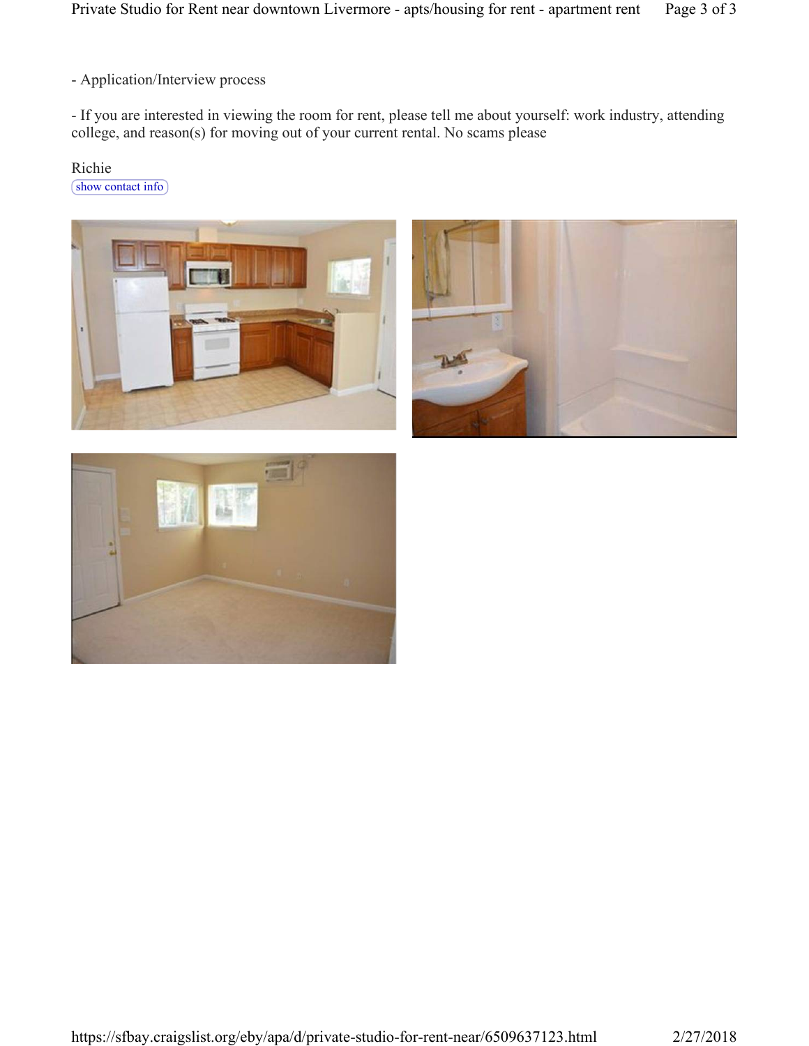- Application/Interview process

- If you are interested in viewing the room for rent, please tell me about yourself: work industry, attending college, and reason(s) for moving out of your current rental. No scams please

Richie

show contact info





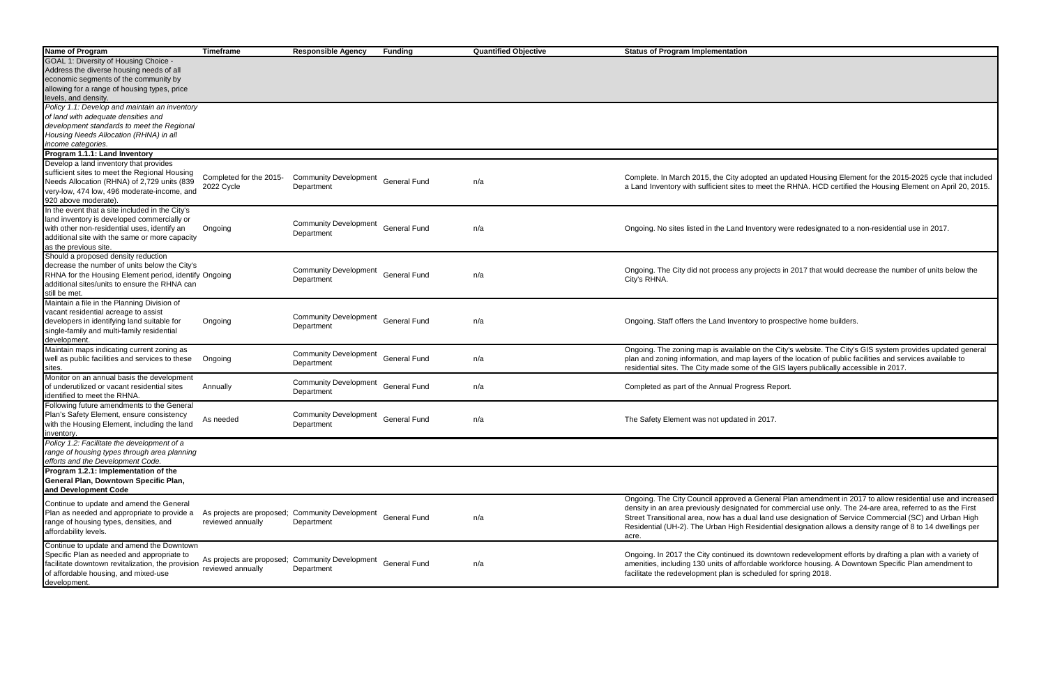| Name of Program                                       | <b>Timeframe</b>          | <b>Responsible Agency</b>    | <b>Funding</b>      | <b>Quantified Objective</b> | <b>Status of Program Implementation</b>                                                                       |
|-------------------------------------------------------|---------------------------|------------------------------|---------------------|-----------------------------|---------------------------------------------------------------------------------------------------------------|
| GOAL 1: Diversity of Housing Choice -                 |                           |                              |                     |                             |                                                                                                               |
| Address the diverse housing needs of all              |                           |                              |                     |                             |                                                                                                               |
| economic segments of the community by                 |                           |                              |                     |                             |                                                                                                               |
| allowing for a range of housing types, price          |                           |                              |                     |                             |                                                                                                               |
| levels, and density.                                  |                           |                              |                     |                             |                                                                                                               |
|                                                       |                           |                              |                     |                             |                                                                                                               |
| Policy 1.1: Develop and maintain an inventory         |                           |                              |                     |                             |                                                                                                               |
| of land with adequate densities and                   |                           |                              |                     |                             |                                                                                                               |
| development standards to meet the Regional            |                           |                              |                     |                             |                                                                                                               |
| Housing Needs Allocation (RHNA) in all                |                           |                              |                     |                             |                                                                                                               |
| income categories.                                    |                           |                              |                     |                             |                                                                                                               |
| Program 1.1.1: Land Inventory                         |                           |                              |                     |                             |                                                                                                               |
| Develop a land inventory that provides                |                           |                              |                     |                             |                                                                                                               |
| sufficient sites to meet the Regional Housing         |                           |                              |                     |                             |                                                                                                               |
| Needs Allocation (RHNA) of 2,729 units (839           | Completed for the 2015-   | <b>Community Development</b> | <b>General Fund</b> |                             | Complete. In March 2015, the City adopted an updated Housing Element for the 2015-2025 cycle that included    |
|                                                       | 2022 Cycle                | Department                   |                     | n/a                         | a Land Inventory with sufficient sites to meet the RHNA. HCD certified the Housing Element on April 20, 2015. |
| very-low, 474 low, 496 moderate-income, and           |                           |                              |                     |                             |                                                                                                               |
| 920 above moderate).                                  |                           |                              |                     |                             |                                                                                                               |
| In the event that a site included in the City's       |                           |                              |                     |                             |                                                                                                               |
| land inventory is developed commercially or           |                           | <b>Community Development</b> |                     |                             |                                                                                                               |
| with other non-residential uses, identify an          | Ongoing                   |                              | <b>General Fund</b> | n/a                         | Ongoing. No sites listed in the Land Inventory were redesignated to a non-residential use in 2017.            |
| additional site with the same or more capacity        |                           | Department                   |                     |                             |                                                                                                               |
| as the previous site.                                 |                           |                              |                     |                             |                                                                                                               |
| Should a proposed density reduction                   |                           |                              |                     |                             |                                                                                                               |
|                                                       |                           |                              |                     |                             |                                                                                                               |
| decrease the number of units below the City's         |                           | <b>Community Development</b> |                     |                             | Ongoing. The City did not process any projects in 2017 that would decrease the number of units below the      |
| RHNA for the Housing Element period, identify Ongoing |                           | Department                   | <b>General Fund</b> | n/a                         | City's RHNA.                                                                                                  |
| additional sites/units to ensure the RHNA can         |                           |                              |                     |                             |                                                                                                               |
| still be met.                                         |                           |                              |                     |                             |                                                                                                               |
| Maintain a file in the Planning Division of           |                           |                              |                     |                             |                                                                                                               |
| vacant residential acreage to assist                  |                           |                              |                     |                             |                                                                                                               |
| developers in identifying land suitable for           | Ongoing                   | <b>Community Development</b> | <b>General Fund</b> | n/a                         | Ongoing. Staff offers the Land Inventory to prospective home builders.                                        |
| single-family and multi-family residential            |                           | Department                   |                     |                             |                                                                                                               |
| development.                                          |                           |                              |                     |                             |                                                                                                               |
| Maintain maps indicating current zoning as            |                           |                              |                     |                             | Ongoing. The zoning map is available on the City's website. The City's GIS system provides updated general    |
| well as public facilities and services to these       |                           | <b>Community Development</b> | <b>General Fund</b> | n/a                         | plan and zoning information, and map layers of the location of public facilities and services available to    |
|                                                       | Ongoing                   | Department                   |                     |                             |                                                                                                               |
| sites.                                                |                           |                              |                     |                             | residential sites. The City made some of the GIS layers publically accessible in 2017.                        |
| Monitor on an annual basis the development            |                           | <b>Community Development</b> |                     |                             |                                                                                                               |
| of underutilized or vacant residential sites          | Annually                  | Department                   | <b>General Fund</b> | n/a                         | Completed as part of the Annual Progress Report.                                                              |
| identified to meet the RHNA.                          |                           |                              |                     |                             |                                                                                                               |
| Following future amendments to the General            |                           |                              |                     |                             |                                                                                                               |
| Plan's Safety Element, ensure consistency             |                           | <b>Community Development</b> |                     |                             |                                                                                                               |
| with the Housing Element, including the land          | As needed                 | Department                   | <b>General Fund</b> | n/a                         | The Safety Element was not updated in 2017.                                                                   |
| inventory.                                            |                           |                              |                     |                             |                                                                                                               |
| Policy 1.2: Facilitate the development of a           |                           |                              |                     |                             |                                                                                                               |
| range of housing types through area planning          |                           |                              |                     |                             |                                                                                                               |
|                                                       |                           |                              |                     |                             |                                                                                                               |
| efforts and the Development Code.                     |                           |                              |                     |                             |                                                                                                               |
| Program 1.2.1: Implementation of the                  |                           |                              |                     |                             |                                                                                                               |
| General Plan, Downtown Specific Plan,                 |                           |                              |                     |                             |                                                                                                               |
| and Development Code                                  |                           |                              |                     |                             |                                                                                                               |
|                                                       |                           |                              |                     |                             | Ongoing. The City Council approved a General Plan amendment in 2017 to allow residential use and increased    |
| Continue to update and amend the General              |                           |                              |                     |                             | density in an area previously designated for commercial use only. The 24-are area, referred to as the First   |
| Plan as needed and appropriate to provide a           | As projects are proposed; | <b>Community Development</b> | <b>General Fund</b> | n/a                         | Street Transitional area, now has a dual land use designation of Service Commercial (SC) and Urban High       |
| range of housing types, densities, and                | reviewed annually         | Department                   |                     |                             | Residential (UH-2). The Urban High Residential designation allows a density range of 8 to 14 dwellings per    |
| affordability levels.                                 |                           |                              |                     |                             |                                                                                                               |
|                                                       |                           |                              |                     |                             | acre.                                                                                                         |
| Continue to update and amend the Downtown             |                           |                              |                     |                             |                                                                                                               |
| Specific Plan as needed and appropriate to            | As projects are proposed; | <b>Community Development</b> |                     |                             | Ongoing. In 2017 the City continued its downtown redevelopment efforts by drafting a plan with a variety of   |
| facilitate downtown revitalization, the provision     | reviewed annually         | Department                   | <b>General Fund</b> | n/a                         | amenities, including 130 units of affordable workforce housing. A Downtown Specific Plan amendment to         |
| of affordable housing, and mixed-use                  |                           |                              |                     |                             | facilitate the redevelopment plan is scheduled for spring 2018.                                               |
| development.                                          |                           |                              |                     |                             |                                                                                                               |
|                                                       |                           |                              |                     |                             |                                                                                                               |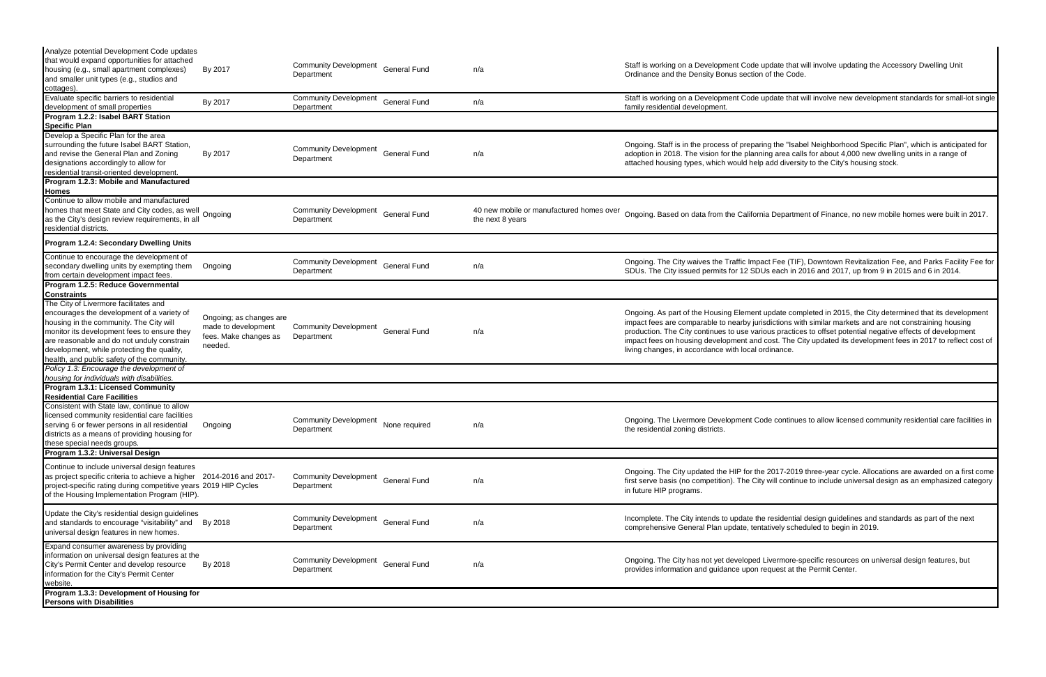| Analyze potential Development Code updates                                                                                                                                                                                                                                                                               |                                                                                    |                                                   |                     |                                                              |                                                                                                                                                                                                                                                                                                                                                                                                                                                                                                               |
|--------------------------------------------------------------------------------------------------------------------------------------------------------------------------------------------------------------------------------------------------------------------------------------------------------------------------|------------------------------------------------------------------------------------|---------------------------------------------------|---------------------|--------------------------------------------------------------|---------------------------------------------------------------------------------------------------------------------------------------------------------------------------------------------------------------------------------------------------------------------------------------------------------------------------------------------------------------------------------------------------------------------------------------------------------------------------------------------------------------|
| that would expand opportunities for attached<br>housing (e.g., small apartment complexes)<br>and smaller unit types (e.g., studios and                                                                                                                                                                                   | By 2017                                                                            | <b>Community Development</b><br>Department        | <b>General Fund</b> | n/a                                                          | Staff is working on a Development Code update that will involve updating the Accessory Dwelling Unit<br>Ordinance and the Density Bonus section of the Code.                                                                                                                                                                                                                                                                                                                                                  |
| cottages).<br>Evaluate specific barriers to residential<br>development of small properties                                                                                                                                                                                                                               | By 2017                                                                            | <b>Community Development</b><br>Department        | <b>General Fund</b> | n/a                                                          | Staff is working on a Development Code update that will involve new development standards for small-lot single<br>family residential development.                                                                                                                                                                                                                                                                                                                                                             |
| Program 1.2.2: Isabel BART Station<br><b>Specific Plan</b>                                                                                                                                                                                                                                                               |                                                                                    |                                                   |                     |                                                              |                                                                                                                                                                                                                                                                                                                                                                                                                                                                                                               |
| Develop a Specific Plan for the area<br>surrounding the future Isabel BART Station,<br>and revise the General Plan and Zoning<br>designations accordingly to allow for<br>residential transit-oriented development.                                                                                                      | By 2017                                                                            | <b>Community Development</b><br>Department        | <b>General Fund</b> | n/a                                                          | Ongoing. Staff is in the process of preparing the "Isabel Neighborhood Specific Plan", which is anticipated for<br>adoption in 2018. The vision for the planning area calls for about 4,000 new dwelling units in a range of<br>attached housing types, which would help add diversity to the City's housing stock.                                                                                                                                                                                           |
| Program 1.2.3: Mobile and Manufactured<br>Homes                                                                                                                                                                                                                                                                          |                                                                                    |                                                   |                     |                                                              |                                                                                                                                                                                                                                                                                                                                                                                                                                                                                                               |
| Continue to allow mobile and manufactured<br>homes that meet State and City codes, as well<br>homes that meet State and City codes, as well<br>as the City's design review requirements, in all<br>residential districts.                                                                                                |                                                                                    | <b>Community Development</b><br>Department        | <b>General Fund</b> | 40 new mobile or manufactured homes over<br>the next 8 years | Ongoing. Based on data from the California Department of Finance, no new mobile homes were built in 2017.                                                                                                                                                                                                                                                                                                                                                                                                     |
| <b>Program 1.2.4: Secondary Dwelling Units</b>                                                                                                                                                                                                                                                                           |                                                                                    |                                                   |                     |                                                              |                                                                                                                                                                                                                                                                                                                                                                                                                                                                                                               |
| Continue to encourage the development of<br>secondary dwelling units by exempting them<br>from certain development impact fees.                                                                                                                                                                                          | Ongoing                                                                            | <b>Community Development</b><br>Department        | <b>General Fund</b> | n/a                                                          | Ongoing. The City waives the Traffic Impact Fee (TIF), Downtown Revitalization Fee, and Parks Facility Fee for<br>SDUs. The City issued permits for 12 SDUs each in 2016 and 2017, up from 9 in 2015 and 6 in 2014.                                                                                                                                                                                                                                                                                           |
| Program 1.2.5: Reduce Governmental<br><b>Constraints</b>                                                                                                                                                                                                                                                                 |                                                                                    |                                                   |                     |                                                              |                                                                                                                                                                                                                                                                                                                                                                                                                                                                                                               |
| The City of Livermore facilitates and<br>encourages the development of a variety of<br>housing in the community. The City will<br>monitor its development fees to ensure they<br>are reasonable and do not unduly constrain<br>development, while protecting the quality,<br>health, and public safety of the community. | Ongoing; as changes are<br>made to development<br>fees. Make changes as<br>needed. | <b>Community Development</b><br>Department        | <b>General Fund</b> | n/a                                                          | Ongoing. As part of the Housing Element update completed in 2015, the City determined that its development<br>impact fees are comparable to nearby jurisdictions with similar markets and are not constraining housing<br>production. The City continues to use various practices to offset potential negative effects of development<br>impact fees on housing development and cost. The City updated its development fees in 2017 to reflect cost of<br>living changes, in accordance with local ordinance. |
| Policy 1.3: Encourage the development of<br>housing for individuals with disabilities.                                                                                                                                                                                                                                   |                                                                                    |                                                   |                     |                                                              |                                                                                                                                                                                                                                                                                                                                                                                                                                                                                                               |
| <b>Program 1.3.1: Licensed Community</b>                                                                                                                                                                                                                                                                                 |                                                                                    |                                                   |                     |                                                              |                                                                                                                                                                                                                                                                                                                                                                                                                                                                                                               |
| <b>Residential Care Facilities</b><br>Consistent with State law, continue to allow<br>licensed community residential care facilities<br>serving 6 or fewer persons in all residential<br>districts as a means of providing housing for<br>these special needs groups.                                                    | Ongoing                                                                            | Community Development None required<br>Department |                     | n/a                                                          | Ongoing. The Livermore Development Code continues to allow licensed community residential care facilities in<br>the residential zoning districts.                                                                                                                                                                                                                                                                                                                                                             |
| Program 1.3.2: Universal Design                                                                                                                                                                                                                                                                                          |                                                                                    |                                                   |                     |                                                              |                                                                                                                                                                                                                                                                                                                                                                                                                                                                                                               |
| Continue to include universal design features<br>as project specific criteria to achieve a higher 2014-2016 and 2017-<br>project-specific rating during competitive years 2019 HIP Cycles<br>of the Housing Implementation Program (HIP).                                                                                |                                                                                    | Community Development General Fund<br>Department  |                     | n/a                                                          | Ongoing. The City updated the HIP for the 2017-2019 three-year cycle. Allocations are awarded on a first come<br>first serve basis (no competition). The City will continue to include universal design as an emphasized category<br>in future HIP programs.                                                                                                                                                                                                                                                  |
| Update the City's residential design guidelines<br>and standards to encourage "visitability" and By 2018<br>universal design features in new homes.                                                                                                                                                                      |                                                                                    | Community Development General Fund<br>Department  |                     | n/a                                                          | Incomplete. The City intends to update the residential design guidelines and standards as part of the next<br>comprehensive General Plan update, tentatively scheduled to begin in 2019.                                                                                                                                                                                                                                                                                                                      |
| Expand consumer awareness by providing<br>information on universal design features at the<br>City's Permit Center and develop resource<br>information for the City's Permit Center<br>website.                                                                                                                           | By 2018                                                                            | <b>Community Development</b><br>Department        | <b>General Fund</b> | n/a                                                          | Ongoing. The City has not yet developed Livermore-specific resources on universal design features, but<br>provides information and guidance upon request at the Permit Center.                                                                                                                                                                                                                                                                                                                                |
| Program 1.3.3: Development of Housing for<br><b>Persons with Disabilities</b>                                                                                                                                                                                                                                            |                                                                                    |                                                   |                     |                                                              |                                                                                                                                                                                                                                                                                                                                                                                                                                                                                                               |
|                                                                                                                                                                                                                                                                                                                          |                                                                                    |                                                   |                     |                                                              |                                                                                                                                                                                                                                                                                                                                                                                                                                                                                                               |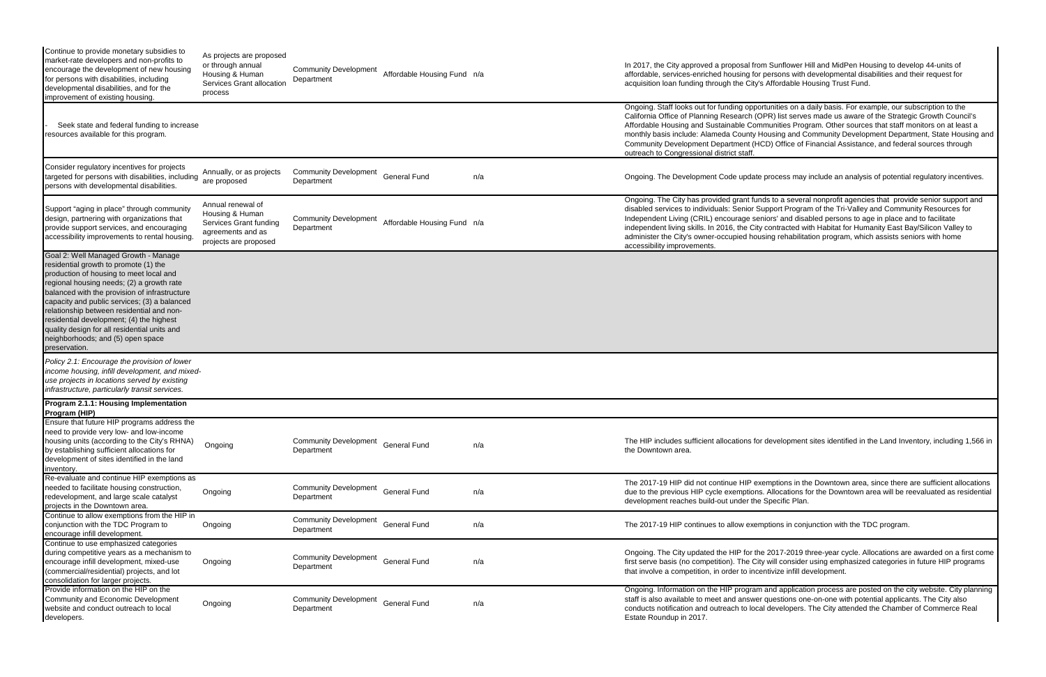| Continue to provide monetary subsidies to<br>market-rate developers and non-profits to<br>encourage the development of new housing<br>for persons with disabilities, including<br>developmental disabilities, and for the<br>improvement of existing housing.                                                                                                                                                                                                         | As projects are proposed<br>or through annual<br>Housing & Human<br>Services Grant allocation<br>process     | <b>Community Development</b><br>Department | Affordable Housing Fund n/a |     | In 2017, the City approved a proposal from<br>affordable, services-enriched housing for p<br>acquisition loan funding through the City's                                                                                                                                      |
|-----------------------------------------------------------------------------------------------------------------------------------------------------------------------------------------------------------------------------------------------------------------------------------------------------------------------------------------------------------------------------------------------------------------------------------------------------------------------|--------------------------------------------------------------------------------------------------------------|--------------------------------------------|-----------------------------|-----|-------------------------------------------------------------------------------------------------------------------------------------------------------------------------------------------------------------------------------------------------------------------------------|
| Seek state and federal funding to increase<br>resources available for this program.                                                                                                                                                                                                                                                                                                                                                                                   |                                                                                                              |                                            |                             |     | Ongoing. Staff looks out for funding opport<br>California Office of Planning Research (OP<br>Affordable Housing and Sustainable Comm<br>monthly basis include: Alameda County Ho<br><b>Community Development Department (HCI</b><br>outreach to Congressional district staff. |
| Consider regulatory incentives for projects<br>targeted for persons with disabilities, including<br>persons with developmental disabilities.                                                                                                                                                                                                                                                                                                                          | Annually, or as projects<br>are proposed                                                                     | <b>Community Development</b><br>Department | <b>General Fund</b>         | n/a | Ongoing. The Development Code update p                                                                                                                                                                                                                                        |
| Support "aging in place" through community<br>design, partnering with organizations that<br>provide support services, and encouraging<br>accessibility improvements to rental housing.                                                                                                                                                                                                                                                                                | Annual renewal of<br>Housing & Human<br>Services Grant funding<br>agreements and as<br>projects are proposed | <b>Community Development</b><br>Department | Affordable Housing Fund n/a |     | Ongoing. The City has provided grant fund<br>disabled services to individuals: Senior Sup<br>Independent Living (CRIL) encourage seni<br>independent living skills. In 2016, the City o<br>administer the City's owner-occupied housi<br>accessibility improvements.          |
| Goal 2: Well Managed Growth - Manage<br>residential growth to promote (1) the<br>production of housing to meet local and<br>regional housing needs; (2) a growth rate<br>balanced with the provision of infrastructure<br>capacity and public services; (3) a balanced<br>relationship between residential and non-<br>residential development; (4) the highest<br>quality design for all residential units and<br>neighborhoods; and (5) open space<br>preservation. |                                                                                                              |                                            |                             |     |                                                                                                                                                                                                                                                                               |
| Policy 2.1: Encourage the provision of lower<br>income housing, infill development, and mixed-<br>use projects in locations served by existing<br>infrastructure, particularly transit services.                                                                                                                                                                                                                                                                      |                                                                                                              |                                            |                             |     |                                                                                                                                                                                                                                                                               |
| Program 2.1.1: Housing Implementation<br>Program (HIP)                                                                                                                                                                                                                                                                                                                                                                                                                |                                                                                                              |                                            |                             |     |                                                                                                                                                                                                                                                                               |
| Ensure that future HIP programs address the<br>need to provide very low- and low-income<br>housing units (according to the City's RHNA)<br>by establishing sufficient allocations for<br>development of sites identified in the land<br>inventory.                                                                                                                                                                                                                    | Ongoing                                                                                                      | <b>Community Development</b><br>Department | <b>General Fund</b>         | n/a | The HIP includes sufficient allocations for o<br>the Downtown area.                                                                                                                                                                                                           |
| Re-evaluate and continue HIP exemptions as<br>needed to facilitate housing construction,<br>redevelopment, and large scale catalyst<br>projects in the Downtown area.                                                                                                                                                                                                                                                                                                 | Ongoing                                                                                                      | <b>Community Development</b><br>Department | <b>General Fund</b>         | n/a | The 2017-19 HIP did not continue HIP exer<br>due to the previous HIP cycle exemptions.<br>development reaches build-out under the S                                                                                                                                           |
| Continue to allow exemptions from the HIP in<br>conjunction with the TDC Program to<br>encourage infill development.                                                                                                                                                                                                                                                                                                                                                  | Ongoing                                                                                                      | <b>Community Development</b><br>Department | <b>General Fund</b>         | n/a | The 2017-19 HIP continues to allow exemp                                                                                                                                                                                                                                      |
| Continue to use emphasized categories<br>during competitive years as a mechanism to<br>encourage infill development, mixed-use<br>(commercial/residential) projects, and lot<br>consolidation for larger projects.                                                                                                                                                                                                                                                    | Ongoing                                                                                                      | <b>Community Development</b><br>Department | <b>General Fund</b>         | n/a | Ongoing. The City updated the HIP for the<br>first serve basis (no competition). The City<br>that involve a competition, in order to incen                                                                                                                                    |
| Provide information on the HIP on the<br>Community and Economic Development<br>website and conduct outreach to local<br>developers.                                                                                                                                                                                                                                                                                                                                   | Ongoing                                                                                                      | <b>Community Development</b><br>Department | <b>General Fund</b>         | n/a | Ongoing. Information on the HIP program a<br>staff is also available to meet and answer o<br>conducts notification and outreach to local<br>Estate Roundup in 2017.                                                                                                           |

I Sunflower Hill and MidPen Housing to develop 44-units of bersons with developmental disabilities and their request for Affordable Housing Trust Fund.

tunities on a daily basis. For example, our subscription to the PR) list serves made us aware of the Strategic Growth Council's nunities Program. Other sources that staff monitors on at least a busing and Community Development Department, State Housing and D) Office of Financial Assistance, and federal sources through

process may include an analysis of potential regulatory incentives.

Is to a several nonprofit agencies that provide senior support and pport Program of the Tri-Valley and Community Resources for iors' and disabled persons to age in place and to facilitate contracted with Habitat for Humanity East Bay/Silicon Valley to ing rehabilitation program, which assists seniors with home

development sites identified in the Land Inventory, including 1,566 in

mptions in the Downtown area, since there are sufficient allocations Allocations for the Downtown area will be reevaluated as residential Specific Plan.

otions in conjunction with the TDC program.

2017-2019 three-year cycle. Allocations are awarded on a first come will consider using emphasized categories in future HIP programs tivize infill development.

and application process are posted on the city website. City planning questions one-on-one with potential applicants. The City also developers. The City attended the Chamber of Commerce Real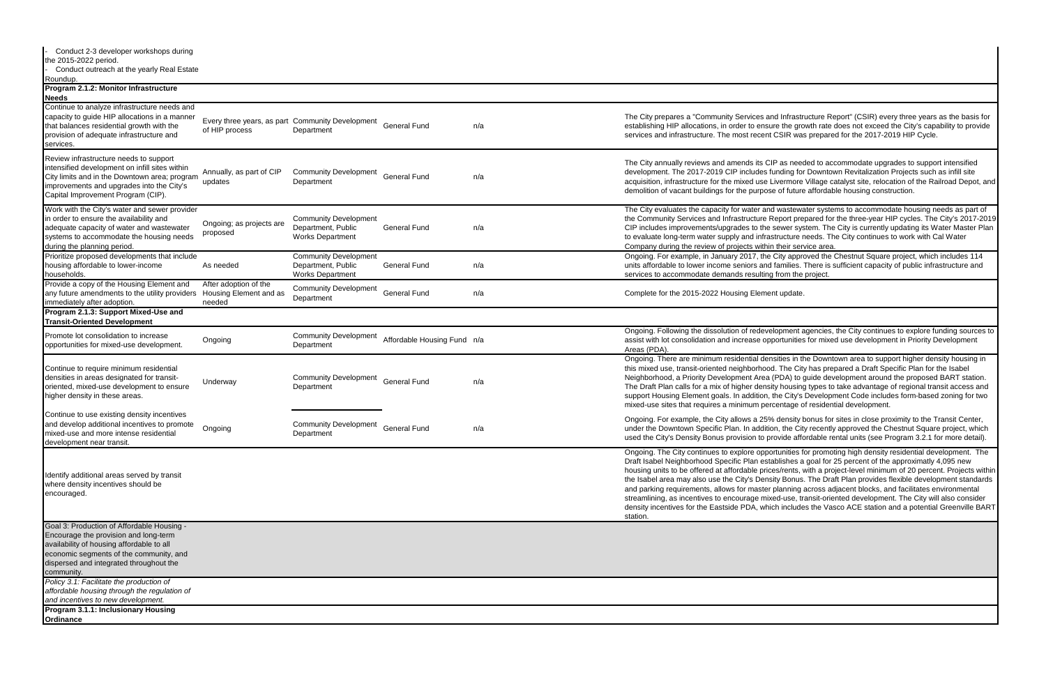- Conduct 2-3 developer workshops during

and Infrastructure Report" (CSIR) every three years as the basis for sure the growth rate does not exceed the City's capability to provide nt CSIR was prepared for the 2017-2019 HIP Cycle.

CIP as needed to accommodate upgrades to support intensified funding for Downtown Revitalization Projects such as infill site acquisition, infrare for the mixed use Livermore Village catalyst site, relocation of the Railroad Depot, and be of future affordable housing construction.

nd wastewater systems to accommodate housing needs as part of Report prepared for the three-year HIP cycles. The City's 2017-2019 e sewer system. The City is currently updating its Water Master Plan rastructure needs. The City continues to work with Cal Water in their service area.

ne City approved the Chestnut Square project, which includes 114 nd families. There is sufficient capacity of public infrastructure and ng from the project.

velopment agencies, the City continues to explore funding sources to pportunities for mixed use development in Priority Development

ensities in the Downtown area to support higher density housing in od. The City has prepared a Draft Specific Plan for the Isabel a (PDA) to guide development around the proposed BART station. nsity housing types to take advantage of regional transit access and n, the City's Development Code includes form-based zoning for two ercentage of residential development.

<sup>5%</sup> density bonus for sites in close proximity to the Transit Center, tion, the City recently approved the Chestnut Square project, which provide affordable rental units (see Program 3.2.1 for more detail).

oortunities for promoting high density residential development. The stablishes a goal for 25 percent of the approximatly 4,095 new ices/rents, with a project-level minimum of 20 percent. Projects within nsity Bonus. The Draft Plan provides flexible development standards er planning across adjacent blocks, and facilitates environmental ixed-use, transit-oriented development. The City will also consider hich includes the Vasco ACE station and a potential Greenville BART

| the 2015-2022 period.<br>Conduct outreach at the yearly Real Estate                                                                                                                                                                  |                                                           |                                                                               |                             |     |                                                                                                                                                                                                                                                                                                                                                                                                                                   |
|--------------------------------------------------------------------------------------------------------------------------------------------------------------------------------------------------------------------------------------|-----------------------------------------------------------|-------------------------------------------------------------------------------|-----------------------------|-----|-----------------------------------------------------------------------------------------------------------------------------------------------------------------------------------------------------------------------------------------------------------------------------------------------------------------------------------------------------------------------------------------------------------------------------------|
| Roundup.<br>Program 2.1.2: Monitor Infrastructure                                                                                                                                                                                    |                                                           |                                                                               |                             |     |                                                                                                                                                                                                                                                                                                                                                                                                                                   |
| <b>Needs</b><br>Continue to analyze infrastructure needs and<br>capacity to guide HIP allocations in a manner<br>that balances residential growth with the<br>provision of adequate infrastructure and<br>services.                  | of HIP process                                            | Every three years, as part Community Development<br>Department                | <b>General Fund</b>         | n/a | The City prepares a "Community Services and Infrastr<br>establishing HIP allocations, in order to ensure the gro<br>services and infrastructure. The most recent CSIR was                                                                                                                                                                                                                                                         |
| Review infrastructure needs to support<br>intensified development on infill sites within<br>City limits and in the Downtown area; program<br>improvements and upgrades into the City's<br>Capital Improvement Program (CIP).         | Annually, as part of CIP<br>updates                       | <b>Community Development</b><br>Department                                    | <b>General Fund</b>         | n/a | The City annually reviews and amends its CIP as need<br>development. The 2017-2019 CIP includes funding for<br>acquisition, infrastructure for the mixed use Livermore<br>demolition of vacant buildings for the purpose of future                                                                                                                                                                                                |
| Work with the City's water and sewer provider<br>in order to ensure the availability and<br>adequate capacity of water and wastewater<br>systems to accommodate the housing needs<br>during the planning period.                     | Ongoing; as projects are<br>proposed                      | <b>Community Development</b><br>Department, Public<br><b>Works Department</b> | <b>General Fund</b>         | n/a | The City evaluates the capacity for water and wastewa<br>the Community Services and Infrastructure Report pre<br>CIP includes improvements/upgrades to the sewer sys<br>to evaluate long-term water supply and infrastructure r<br>Company during the review of projects within their serv                                                                                                                                        |
| Prioritize proposed developments that include<br>housing affordable to lower-income<br>households.                                                                                                                                   | As needed                                                 | <b>Community Development</b><br>Department, Public<br><b>Works Department</b> | <b>General Fund</b>         | n/a | Ongoing. For example, in January 2017, the City appro<br>units affordable to lower income seniors and families.<br>services to accommodate demands resulting from the                                                                                                                                                                                                                                                             |
| Provide a copy of the Housing Element and<br>any future amendments to the utility providers<br>immediately after adoption.                                                                                                           | After adoption of the<br>Housing Element and as<br>needed | <b>Community Development</b><br>Department                                    | <b>General Fund</b>         | n/a | Complete for the 2015-2022 Housing Element update.                                                                                                                                                                                                                                                                                                                                                                                |
| Program 2.1.3: Support Mixed-Use and<br><b>Transit-Oriented Development</b>                                                                                                                                                          |                                                           |                                                                               |                             |     |                                                                                                                                                                                                                                                                                                                                                                                                                                   |
| Promote lot consolidation to increase<br>opportunities for mixed-use development.                                                                                                                                                    | Ongoing                                                   | <b>Community Development</b><br>Department                                    | Affordable Housing Fund n/a |     | Ongoing. Following the dissolution of redevelopment a<br>assist with lot consolidation and increase opportunities<br>Areas (PDA).                                                                                                                                                                                                                                                                                                 |
| Continue to require minimum residential<br>densities in areas designated for transit-<br>oriented, mixed-use development to ensure<br>higher density in these areas.                                                                 | Underway                                                  | <b>Community Development</b><br>Department                                    | <b>General Fund</b>         | n/a | Ongoing. There are minimum residential densities in th<br>this mixed use, transit-oriented neighborhood. The City<br>Neighborhood, a Priority Development Area (PDA) to g<br>The Draft Plan calls for a mix of higher density housing<br>support Housing Element goals. In addition, the City's<br>mixed-use sites that requires a minimum percentage o                                                                           |
| Continue to use existing density incentives<br>and develop additional incentives to promote<br>mixed-use and more intense residential<br>development near transit.                                                                   | Ongoing                                                   | <b>Community Development</b><br>Department                                    | <b>General Fund</b>         | n/a | Ongoing. For example, the City allows a 25% density b<br>under the Downtown Specific Plan. In addition, the Cit<br>used the City's Density Bonus provision to provide affo                                                                                                                                                                                                                                                        |
| Identify additional areas served by transit<br>where density incentives should be<br>encouraged.                                                                                                                                     |                                                           |                                                                               |                             |     | Ongoing. The City continues to explore opportunities fo<br>Draft Isabel Neighborhood Specific Plan establishes a<br>housing units to be offered at affordable prices/rents, v<br>the Isabel area may also use the City's Density Bonus.<br>and parking requirements, allows for master planning a<br>streamlining, as incentives to encourage mixed-use, tr<br>density incentives for the Eastside PDA, which include<br>station. |
| Goal 3: Production of Affordable Housing -<br>Encourage the provision and long-term<br>availability of housing affordable to all<br>economic segments of the community, and<br>dispersed and integrated throughout the<br>community. |                                                           |                                                                               |                             |     |                                                                                                                                                                                                                                                                                                                                                                                                                                   |
| Policy 3.1: Facilitate the production of<br>affordable housing through the regulation of<br>and incentives to new development.                                                                                                       |                                                           |                                                                               |                             |     |                                                                                                                                                                                                                                                                                                                                                                                                                                   |
| Program 3.1.1: Inclusionary Housing<br><b>Ordinance</b>                                                                                                                                                                              |                                                           |                                                                               |                             |     |                                                                                                                                                                                                                                                                                                                                                                                                                                   |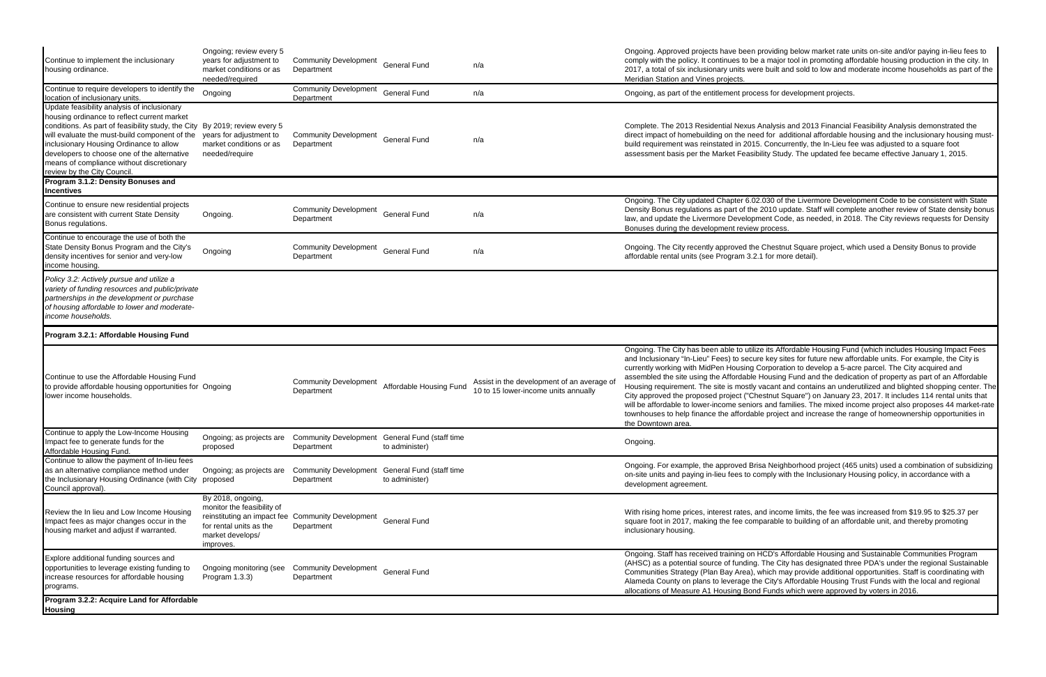| Continue to implement the inclusionary<br>housing ordinance.                                                                                                                                                                                                                                                                                                                                                                                               | Ongoing; review every 5<br>years for adjustment to<br>market conditions or as<br>needed/required            | <b>Community Development</b><br>Department                      | <b>General Fund</b>     | n/a                                                                                | Ongoing. Approved projects have been providing below market rate u<br>comply with the policy. It continues to be a major tool in promoting aff<br>2017, a total of six inclusionary units were built and sold to low and m<br>Meridian Station and Vines projects.                                                                                                                                                                                                                                                                                                                                                    |
|------------------------------------------------------------------------------------------------------------------------------------------------------------------------------------------------------------------------------------------------------------------------------------------------------------------------------------------------------------------------------------------------------------------------------------------------------------|-------------------------------------------------------------------------------------------------------------|-----------------------------------------------------------------|-------------------------|------------------------------------------------------------------------------------|-----------------------------------------------------------------------------------------------------------------------------------------------------------------------------------------------------------------------------------------------------------------------------------------------------------------------------------------------------------------------------------------------------------------------------------------------------------------------------------------------------------------------------------------------------------------------------------------------------------------------|
| Continue to require developers to identify the<br>location of inclusionary units.                                                                                                                                                                                                                                                                                                                                                                          | Ongoing                                                                                                     | <b>Community Development</b><br>Department                      | <b>General Fund</b>     | n/a                                                                                | Ongoing, as part of the entitlement process for development projects.                                                                                                                                                                                                                                                                                                                                                                                                                                                                                                                                                 |
| Update feasibility analysis of inclusionary<br>housing ordinance to reflect current market<br>conditions. As part of feasibility study, the City By 2019; review every 5<br>will evaluate the must-build component of the<br>inclusionary Housing Ordinance to allow<br>developers to choose one of the alternative<br>means of compliance without discretionary<br>review by the City Council.<br>Program 3.1.2: Density Bonuses and<br><b>Incentives</b> | years for adjustment to<br>market conditions or as<br>needed/require                                        | <b>Community Development</b><br>Department                      | <b>General Fund</b>     | n/a                                                                                | Complete. The 2013 Residential Nexus Analysis and 2013 Financial<br>direct impact of homebuilding on the need for additional affordable he<br>build requirement was reinstated in 2015. Concurrently, the In-Lieu fe<br>assessment basis per the Market Feasibility Study. The updated fee I                                                                                                                                                                                                                                                                                                                          |
| Continue to ensure new residential projects<br>are consistent with current State Density<br>Bonus regulations.                                                                                                                                                                                                                                                                                                                                             | Ongoing.                                                                                                    | <b>Community Development</b><br>Department                      | <b>General Fund</b>     | n/a                                                                                | Ongoing. The City updated Chapter 6.02.030 of the Livermore Develo<br>Density Bonus regulations as part of the 2010 update. Staff will comp<br>law, and update the Livermore Development Code, as needed, in 201<br>Bonuses during the development review process.                                                                                                                                                                                                                                                                                                                                                    |
| Continue to encourage the use of both the<br>State Density Bonus Program and the City's<br>density incentives for senior and very-low<br>income housing.                                                                                                                                                                                                                                                                                                   | Ongoing                                                                                                     | <b>Community Development</b><br>Department                      | <b>General Fund</b>     | n/a                                                                                | Ongoing. The City recently approved the Chestnut Square project, wh<br>affordable rental units (see Program 3.2.1 for more detail).                                                                                                                                                                                                                                                                                                                                                                                                                                                                                   |
| Policy 3.2: Actively pursue and utilize a<br>variety of funding resources and public/private<br>partnerships in the development or purchase<br>of housing affordable to lower and moderate-<br>income households.                                                                                                                                                                                                                                          |                                                                                                             |                                                                 |                         |                                                                                    |                                                                                                                                                                                                                                                                                                                                                                                                                                                                                                                                                                                                                       |
| Program 3.2.1: Affordable Housing Fund                                                                                                                                                                                                                                                                                                                                                                                                                     |                                                                                                             |                                                                 |                         |                                                                                    |                                                                                                                                                                                                                                                                                                                                                                                                                                                                                                                                                                                                                       |
| Continue to use the Affordable Housing Fund<br>to provide affordable housing opportunities for Ongoing<br>lower income households.                                                                                                                                                                                                                                                                                                                         |                                                                                                             | <b>Community Development</b><br>Department                      | Affordable Housing Fund | Assist in the development of an average of<br>10 to 15 lower-income units annually | Ongoing. The City has been able to utilize its Affordable Housing Fun<br>and Inclusionary "In-Lieu" Fees) to secure key sites for future new aff<br>currently working with MidPen Housing Corporation to develop a 5-ad<br>assembled the site using the Affordable Housing Fund and the dedica<br>Housing requirement. The site is mostly vacant and contains an unde<br>City approved the proposed project ("Chestnut Square") on January 2<br>will be affordable to lower-income seniors and families. The mixed inc<br>townhouses to help finance the affordable project and increase the ra<br>the Downtown area. |
| Continue to apply the Low-Income Housing<br>Impact fee to generate funds for the<br>Affordable Housing Fund.                                                                                                                                                                                                                                                                                                                                               | Ongoing; as projects are<br>proposed                                                                        | Community Development General Fund (staff time<br>Department    | to administer)          |                                                                                    | Ongoing.                                                                                                                                                                                                                                                                                                                                                                                                                                                                                                                                                                                                              |
| Continue to allow the payment of In-lieu fees<br>as an alternative compliance method under<br>the Inclusionary Housing Ordinance (with City proposed<br>Council approval).                                                                                                                                                                                                                                                                                 | Ongoing; as projects are                                                                                    | Community Development General Fund (staff time<br>Department    | to administer)          |                                                                                    | Ongoing. For example, the approved Brisa Neighborhood project (46<br>on-site units and paying in-lieu fees to comply with the Inclusionary H<br>development agreement.                                                                                                                                                                                                                                                                                                                                                                                                                                                |
| Review the In lieu and Low Income Housing<br>Impact fees as major changes occur in the<br>housing market and adjust if warranted.                                                                                                                                                                                                                                                                                                                          | By 2018, ongoing,<br>monitor the feasibility of<br>for rental units as the<br>market develops/<br>improves. | reinstituting an impact fee Community Development<br>Department | <b>General Fund</b>     |                                                                                    | With rising home prices, interest rates, and income limits, the fee was<br>square foot in 2017, making the fee comparable to building of an affo<br>inclusionary housing.                                                                                                                                                                                                                                                                                                                                                                                                                                             |
| Explore additional funding sources and<br>opportunities to leverage existing funding to<br>increase resources for affordable housing<br>programs.                                                                                                                                                                                                                                                                                                          | Ongoing monitoring (see<br>Program 1.3.3)                                                                   | <b>Community Development</b><br>Department                      | <b>General Fund</b>     |                                                                                    | Ongoing. Staff has received training on HCD's Affordable Housing an<br>(AHSC) as a potential source of funding. The City has designated thre<br>Communities Strategy (Plan Bay Area), which may provide additional<br>Alameda County on plans to leverage the City's Affordable Housing T<br>allocations of Measure A1 Housing Bond Funds which were approve                                                                                                                                                                                                                                                          |
| Program 3.2.2: Acquire Land for Affordable<br><b>Housing</b>                                                                                                                                                                                                                                                                                                                                                                                               |                                                                                                             |                                                                 |                         |                                                                                    |                                                                                                                                                                                                                                                                                                                                                                                                                                                                                                                                                                                                                       |

oviding below market rate units on-site and/or paying in-lieu fees to major tool in promoting affordable housing production in the city. In built and sold to low and moderate income households as part of the

alysis and 2013 Financial Feasibility Analysis demonstrated the for additional affordable housing and the inclusionary housing must-Concurrently, the In-Lieu fee was adjusted to a square foot ty Study. The updated fee became effective January 1, 2015.

30 of the Livermore Development Code to be consistent with State 010 update. Staff will complete another review of State density bonus nt Code, as needed, in 2018. The City reviews requests for Density rocess.

hestnut Square project, which used a Density Bonus to provide for more detail).

its Affordable Housing Fund (which includes Housing Impact Fees key sites for future new affordable units. For example, the City is rporation to develop a 5-acre parcel. The City acquired and busing Fund and the dedication of property as part of an Affordable icant and contains an underutilized and blighted shopping center. The thut Square") on January 23, 2017. It includes 114 rental units that and families. The mixed income project also proposes 44 market-rate project and increase the range of homeownership opportunities in

Neighborhood project (465 units) used a combination of subsidizing ply with the Inclusionary Housing policy, in accordance with a

I income limits, the fee was increased from \$19.95 to \$25.37 per arable to building of an affordable unit, and thereby promoting

CD's Affordable Housing and Sustainable Communities Program he City has designated three PDA's under the regional Sustainable ich may provide additional opportunities. Staff is coordinating with City's Affordable Housing Trust Funds with the local and regional unds which were approved by voters in 2016.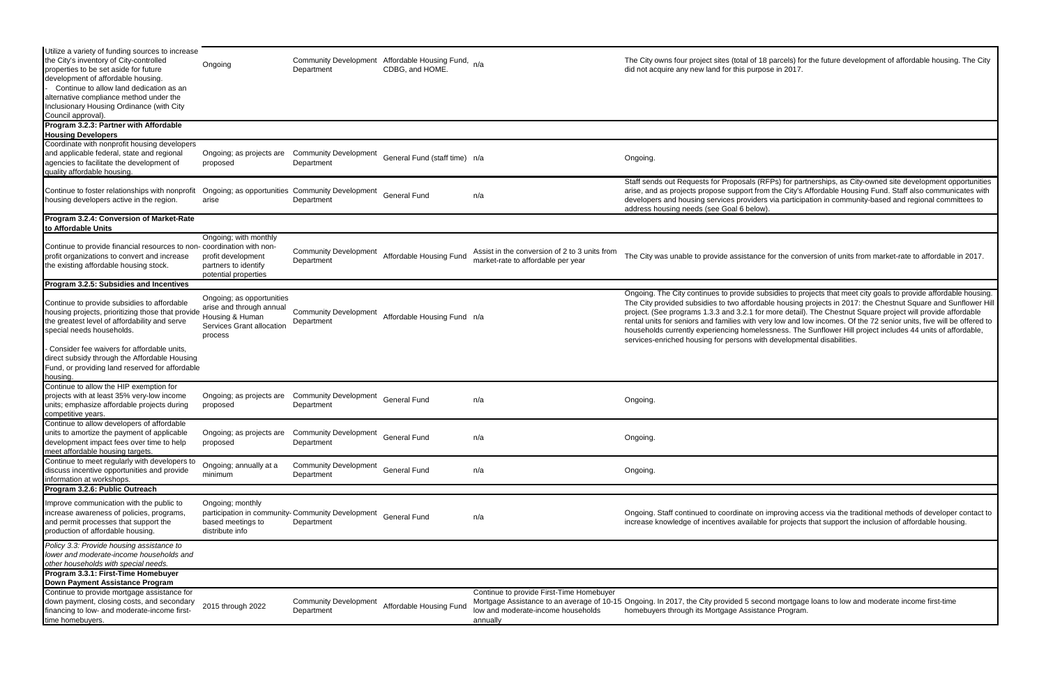| Utilize a variety of funding sources to increase<br>the City's inventory of City-controlled<br>properties to be set aside for future<br>development of affordable housing.<br>Continue to allow land dedication as an<br>alternative compliance method under the<br>Inclusionary Housing Ordinance (with City<br>Council approval). | Ongoing                                                                                                          | <b>Community Development</b><br>Department                     | Affordable Housing Fund,<br>CDBG, and HOME. | n/a                                                                                        | The City owns four project sites (total of 18 parcels) for the future development of affordable housing. The City<br>did not acquire any new land for this purpose in 2017.                                                                                                                                                                                                                                                                                                                                                                                                                                                                                        |
|-------------------------------------------------------------------------------------------------------------------------------------------------------------------------------------------------------------------------------------------------------------------------------------------------------------------------------------|------------------------------------------------------------------------------------------------------------------|----------------------------------------------------------------|---------------------------------------------|--------------------------------------------------------------------------------------------|--------------------------------------------------------------------------------------------------------------------------------------------------------------------------------------------------------------------------------------------------------------------------------------------------------------------------------------------------------------------------------------------------------------------------------------------------------------------------------------------------------------------------------------------------------------------------------------------------------------------------------------------------------------------|
| Program 3.2.3: Partner with Affordable<br><b>Housing Developers</b>                                                                                                                                                                                                                                                                 |                                                                                                                  |                                                                |                                             |                                                                                            |                                                                                                                                                                                                                                                                                                                                                                                                                                                                                                                                                                                                                                                                    |
| Coordinate with nonprofit housing developers<br>and applicable federal, state and regional<br>agencies to facilitate the development of<br>quality affordable housing.                                                                                                                                                              | Ongoing; as projects are<br>proposed                                                                             | <b>Community Development</b><br>Department                     | General Fund (staff time) n/a               |                                                                                            | Ongoing.                                                                                                                                                                                                                                                                                                                                                                                                                                                                                                                                                                                                                                                           |
| Continue to foster relationships with nonprofit<br>housing developers active in the region.                                                                                                                                                                                                                                         | arise                                                                                                            | Ongoing; as opportunities Community Development<br>Department  | <b>General Fund</b>                         | n/a                                                                                        | Staff sends out Requests for Proposals (RFPs) for partnerships, as City-owned site development opportunities<br>arise, and as projects propose support from the City's Affordable Housing Fund. Staff also communicates with<br>developers and housing services providers via participation in community-based and regional committees to<br>address housing needs (see Goal 6 below)                                                                                                                                                                                                                                                                              |
| Program 3.2.4: Conversion of Market-Rate<br>to Affordable Units                                                                                                                                                                                                                                                                     |                                                                                                                  |                                                                |                                             |                                                                                            |                                                                                                                                                                                                                                                                                                                                                                                                                                                                                                                                                                                                                                                                    |
| Continue to provide financial resources to non- coordination with non-<br>profit organizations to convert and increase<br>the existing affordable housing stock.                                                                                                                                                                    | Ongoing; with monthly<br>profit development<br>partners to identify<br>potential properties                      | <b>Community Development</b><br>Department                     | Affordable Housing Fund                     | Assist in the conversion of 2 to 3 units from<br>market-rate to affordable per year        | The City was unable to provide assistance for the conversion of units from market-rate to affordable in 2017.                                                                                                                                                                                                                                                                                                                                                                                                                                                                                                                                                      |
| Program 3.2.5: Subsidies and Incentives                                                                                                                                                                                                                                                                                             |                                                                                                                  |                                                                |                                             |                                                                                            |                                                                                                                                                                                                                                                                                                                                                                                                                                                                                                                                                                                                                                                                    |
| Continue to provide subsidies to affordable<br>housing projects, prioritizing those that provide<br>the greatest level of affordability and serve<br>special needs households.                                                                                                                                                      | Ongoing; as opportunities<br>arise and through annual<br>Housing & Human<br>Services Grant allocation<br>process | <b>Community Development</b><br>Department                     | Affordable Housing Fund n/a                 |                                                                                            | Ongoing. The City continues to provide subsidies to projects that meet city goals to provide affordable housing.<br>The City provided subsidies to two affordable housing projects in 2017: the Chestnut Square and Sunflower Hil<br>project. (See programs 1.3.3 and 3.2.1 for more detail). The Chestnut Square project will provide affordable<br>rental units for seniors and families with very low and low incomes. Of the 72 senior units, five will be offered to<br>households currently experiencing homelessness. The Sunflower Hill project includes 44 units of affordable,<br>services-enriched housing for persons with developmental disabilities. |
| - Consider fee waivers for affordable units,<br>direct subsidy through the Affordable Housing<br>Fund, or providing land reserved for affordable<br>housing.                                                                                                                                                                        |                                                                                                                  |                                                                |                                             |                                                                                            |                                                                                                                                                                                                                                                                                                                                                                                                                                                                                                                                                                                                                                                                    |
| Continue to allow the HIP exemption for<br>projects with at least 35% very-low income<br>units; emphasize affordable projects during<br>competitive years.                                                                                                                                                                          | Ongoing; as projects are<br>proposed                                                                             | <b>Community Development</b><br>Department                     | <b>General Fund</b>                         | n/a                                                                                        | Ongoing.                                                                                                                                                                                                                                                                                                                                                                                                                                                                                                                                                                                                                                                           |
| Continue to allow developers of affordable<br>units to amortize the payment of applicable<br>development impact fees over time to help<br>meet affordable housing targets.                                                                                                                                                          | Ongoing; as projects are<br>proposed                                                                             | <b>Community Development</b><br>Department                     | <b>General Fund</b>                         | n/a                                                                                        | Ongoing.                                                                                                                                                                                                                                                                                                                                                                                                                                                                                                                                                                                                                                                           |
| Continue to meet regularly with developers to<br>discuss incentive opportunities and provide<br>information at workshops.                                                                                                                                                                                                           | Ongoing; annually at a<br>minimum                                                                                | <b>Community Development</b><br>Department                     | <b>General Fund</b>                         | n/a                                                                                        | Ongoing.                                                                                                                                                                                                                                                                                                                                                                                                                                                                                                                                                                                                                                                           |
| Program 3.2.6: Public Outreach<br>Improve communication with the public to<br>increase awareness of policies, programs,<br>and permit processes that support the<br>production of affordable housing.                                                                                                                               | Ongoing; monthly<br>based meetings to<br>distribute info                                                         | participation in community-Community Development<br>Department | <b>General Fund</b>                         | n/a                                                                                        | Ongoing. Staff continued to coordinate on improving access via the traditional methods of developer contact to<br>increase knowledge of incentives available for projects that support the inclusion of affordable housing.                                                                                                                                                                                                                                                                                                                                                                                                                                        |
| Policy 3.3: Provide housing assistance to<br>lower and moderate-income households and<br>other households with special needs.                                                                                                                                                                                                       |                                                                                                                  |                                                                |                                             |                                                                                            |                                                                                                                                                                                                                                                                                                                                                                                                                                                                                                                                                                                                                                                                    |
| Program 3.3.1: First-Time Homebuyer<br>Down Payment Assistance Program                                                                                                                                                                                                                                                              |                                                                                                                  |                                                                |                                             |                                                                                            |                                                                                                                                                                                                                                                                                                                                                                                                                                                                                                                                                                                                                                                                    |
| Continue to provide mortgage assistance for<br>down payment, closing costs, and secondary<br>financing to low- and moderate-income first-<br>time homebuyers.                                                                                                                                                                       | 2015 through 2022                                                                                                | <b>Community Development</b><br>Department                     | Affordable Housing Fund                     | Continue to provide First-Time Homebuyer<br>low and moderate-income households<br>annually | Mortgage Assistance to an average of 10-15 Ongoing. In 2017, the City provided 5 second mortgage loans to low and moderate income first-time<br>homebuyers through its Mortgage Assistance Program.                                                                                                                                                                                                                                                                                                                                                                                                                                                                |
|                                                                                                                                                                                                                                                                                                                                     |                                                                                                                  |                                                                |                                             |                                                                                            |                                                                                                                                                                                                                                                                                                                                                                                                                                                                                                                                                                                                                                                                    |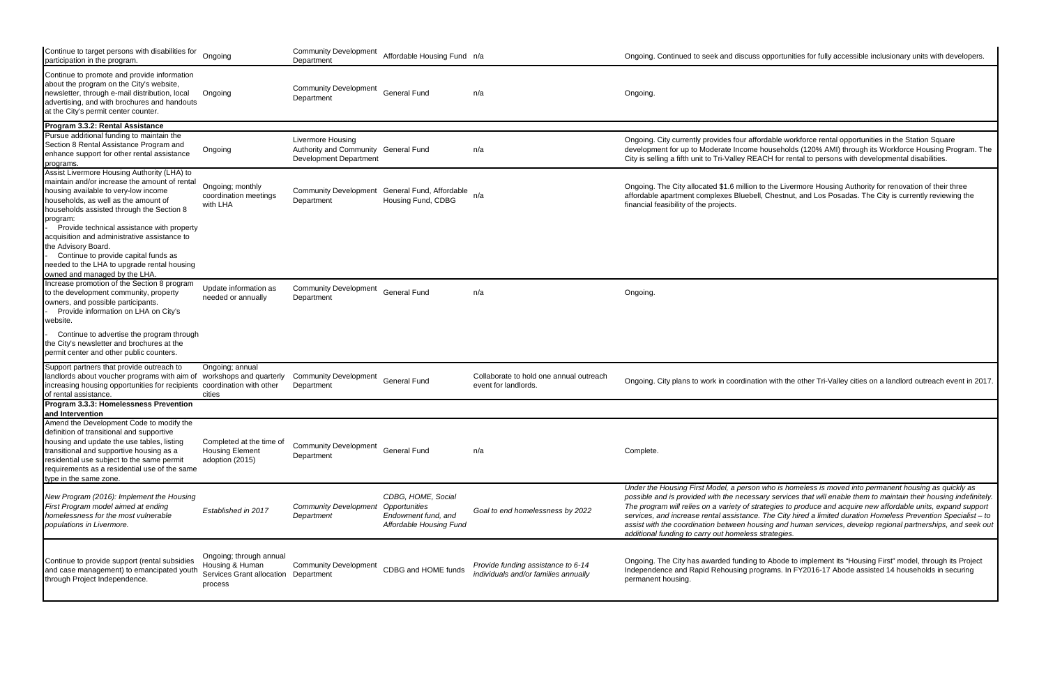| Continue to target persons with disabilities for<br>participation in the program.                                                                                                                                                                                                                                                   | Ongoing                                                                                       | <b>Community Development</b><br>Department                                                 | Affordable Housing Fund n/a                                                                  |                                                                            | Ongoing. Continued to seek and discuss o                                                                                                                                                                                                                                                |
|-------------------------------------------------------------------------------------------------------------------------------------------------------------------------------------------------------------------------------------------------------------------------------------------------------------------------------------|-----------------------------------------------------------------------------------------------|--------------------------------------------------------------------------------------------|----------------------------------------------------------------------------------------------|----------------------------------------------------------------------------|-----------------------------------------------------------------------------------------------------------------------------------------------------------------------------------------------------------------------------------------------------------------------------------------|
| Continue to promote and provide information<br>about the program on the City's website,<br>newsletter, through e-mail distribution, local<br>advertising, and with brochures and handouts<br>at the City's permit center counter.                                                                                                   | Ongoing                                                                                       | <b>Community Development</b><br>Department                                                 | <b>General Fund</b>                                                                          | n/a                                                                        | Ongoing.                                                                                                                                                                                                                                                                                |
| Program 3.3.2: Rental Assistance                                                                                                                                                                                                                                                                                                    |                                                                                               |                                                                                            |                                                                                              |                                                                            |                                                                                                                                                                                                                                                                                         |
| Pursue additional funding to maintain the<br>Section 8 Rental Assistance Program and<br>enhance support for other rental assistance<br>programs.                                                                                                                                                                                    | Ongoing                                                                                       | Livermore Housing<br>Authority and Community General Fund<br><b>Development Department</b> |                                                                                              | n/a                                                                        | Ongoing. City currently provides four afford<br>development for up to Moderate Income ho<br>City is selling a fifth unit to Tri-Valley REAC                                                                                                                                             |
| Assist Livermore Housing Authority (LHA) to<br>maintain and/or increase the amount of rental<br>housing available to very-low income<br>households, as well as the amount of<br>households assisted through the Section 8<br>program:<br>Provide technical assistance with property<br>acquisition and administrative assistance to | Ongoing; monthly<br>coordination meetings<br>with LHA                                         | Department                                                                                 | Community Development General Fund, Affordable n/a<br>Housing Fund, CDBG                     |                                                                            | Ongoing. The City allocated \$1.6 million to<br>affordable apartment complexes Bluebell, (<br>financial feasibility of the projects.                                                                                                                                                    |
| the Advisory Board.<br>Continue to provide capital funds as<br>needed to the LHA to upgrade rental housing<br>owned and managed by the LHA.                                                                                                                                                                                         |                                                                                               |                                                                                            |                                                                                              |                                                                            |                                                                                                                                                                                                                                                                                         |
| Increase promotion of the Section 8 program<br>to the development community, property<br>owners, and possible participants.<br>Provide information on LHA on City's<br>website.                                                                                                                                                     | Update information as<br>needed or annually                                                   | <b>Community Development</b><br>Department                                                 | <b>General Fund</b>                                                                          | n/a                                                                        | Ongoing.                                                                                                                                                                                                                                                                                |
| Continue to advertise the program through<br>the City's newsletter and brochures at the<br>permit center and other public counters.                                                                                                                                                                                                 |                                                                                               |                                                                                            |                                                                                              |                                                                            |                                                                                                                                                                                                                                                                                         |
| Support partners that provide outreach to<br>landlords about voucher programs with aim of<br>increasing housing opportunities for recipients coordination with other<br>of rental assistance.                                                                                                                                       | Ongoing; annual<br>workshops and quarterly<br>cities                                          | <b>Community Development</b><br>Department                                                 | <b>General Fund</b>                                                                          | Collaborate to hold one annual outreach<br>event for landlords.            | Ongoing. City plans to work in coordination                                                                                                                                                                                                                                             |
| Program 3.3.3: Homelessness Prevention<br>and Intervention                                                                                                                                                                                                                                                                          |                                                                                               |                                                                                            |                                                                                              |                                                                            |                                                                                                                                                                                                                                                                                         |
| Amend the Development Code to modify the<br>definition of transitional and supportive<br>housing and update the use tables, listing<br>transitional and supportive housing as a<br>residential use subject to the same permit<br>requirements as a residential use of the same<br>type in the same zone.                            | Completed at the time of<br><b>Housing Element</b><br>adoption (2015)                         | Community Development General Fund<br>Department                                           |                                                                                              | n/a                                                                        | Complete.                                                                                                                                                                                                                                                                               |
| New Program (2016): Implement the Housing<br>First Program model aimed at ending<br>homelessness for the most vulnerable<br>populations in Livermore.                                                                                                                                                                               | Established in 2017                                                                           | <b>Community Development</b><br>Department                                                 | CDBG, HOME, Social<br>Opportunities<br>Endowment fund, and<br><b>Affordable Housing Fund</b> | Goal to end homelessness by 2022                                           | Under the Housing First Model, a person w<br>possible and is provided with the necessar<br>The program will relies on a variety of strate<br>services, and increase rental assistance. T<br>assist with the coordination between housir<br>additional funding to carry out homeless sti |
| Continue to provide support (rental subsidies<br>and case management) to emancipated youth<br>through Project Independence.                                                                                                                                                                                                         | Ongoing; through annual<br>Housing & Human<br>Services Grant allocation Department<br>process | <b>Community Development</b>                                                               | CDBG and HOME funds                                                                          | Provide funding assistance to 6-14<br>individuals and/or families annually | Ongoing. The City has awarded funding to<br>Independence and Rapid Rehousing progr<br>permanent housing.                                                                                                                                                                                |

pportunities for fully accessible inclusionary units with developers.

dable workforce rental opportunities in the Station Square ouseholds (120% AMI) through its Workforce Housing Program. The CH for rental to persons with developmental disabilities.

the Livermore Housing Authority for renovation of their three Chestnut, and Los Posadas. The City is currently reviewing the

i with the other Tri-Valley cities on a landlord outreach event in 2017.

*Under the Housing First Model, a person who is homeless is moved into permanent housing as quickly as possible and is provided with the necessary services that will enable them to maintain their housing indefinitely. The program will relies on a variety of strategies to produce and acquire new affordable units, expand support services, and increase rental assistance. The City hired a limited duration Homeless Prevention Specialist – to assist with the coordination between housing and human services, develop regional partnerships, and seek out additional funding to carry out homeless strategies.* 

Abode to implement its "Housing First" model, through its Project rams. In FY2016-17 Abode assisted 14 households in securing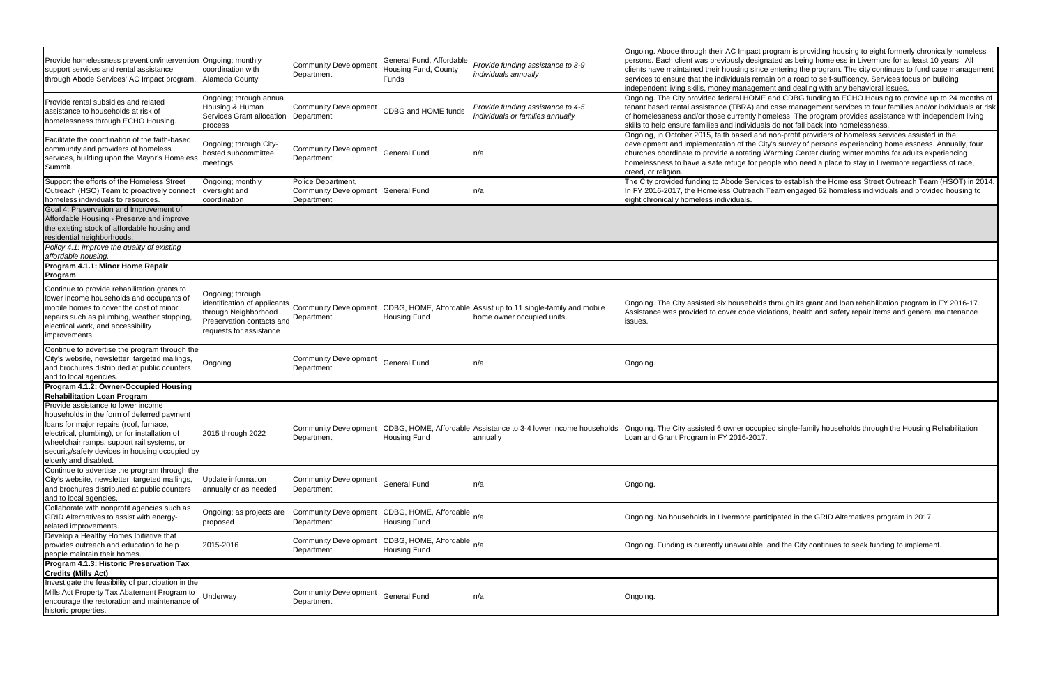| Provide homelessness prevention/intervention Ongoing; monthly<br>support services and rental assistance<br>through Abode Services' AC Impact program.                                                                                                                                                                                       | coordination with<br>Alameda County<br>Ongoing; through annual                                   | <b>Community Development</b><br>Department                                | General Fund, Affordable<br>Housing Fund, County<br>Funds | Provide funding assistance to 8-9<br>individuals annually                                                                                              | Ongoing. Abode through their AC Impact pr<br>persons. Each client was previously designa<br>clients have maintained their housing since<br>services to ensure that the individuals rema<br>independent living skills, money manageme<br>Ongoing. The City provided federal HOME a |
|---------------------------------------------------------------------------------------------------------------------------------------------------------------------------------------------------------------------------------------------------------------------------------------------------------------------------------------------|--------------------------------------------------------------------------------------------------|---------------------------------------------------------------------------|-----------------------------------------------------------|--------------------------------------------------------------------------------------------------------------------------------------------------------|-----------------------------------------------------------------------------------------------------------------------------------------------------------------------------------------------------------------------------------------------------------------------------------|
| Provide rental subsidies and related<br>assistance to households at risk of<br>homelessness through ECHO Housing.                                                                                                                                                                                                                           | Housing & Human<br>Services Grant allocation<br>process                                          | <b>Community Development</b><br>Department                                | CDBG and HOME funds                                       | Provide funding assistance to 4-5<br>individuals or families annually                                                                                  | tenant based rental assistance (TBRA) and<br>of homelessness and/or those currently hor<br>skills to help ensure families and individuals                                                                                                                                         |
| Facilitate the coordination of the faith-based<br>community and providers of homeless<br>services, building upon the Mayor's Homeless<br>Summit.                                                                                                                                                                                            | Ongoing; through City-<br>hosted subcommittee<br>meetings                                        | <b>Community Development</b><br>Department                                | <b>General Fund</b>                                       | n/a                                                                                                                                                    | Ongoing, in October 2015, faith based and<br>development and implementation of the City<br>churches coordinate to provide a rotating W<br>homelessness to have a safe refuge for peo<br>creed, or religion.                                                                       |
| Support the efforts of the Homeless Street<br>Outreach (HSO) Team to proactively connect<br>homeless individuals to resources.                                                                                                                                                                                                              | Ongoing; monthly<br>oversight and<br>coordination                                                | Police Department,<br>Community Development General Fund<br>Department    |                                                           | n/a                                                                                                                                                    | The City provided funding to Abode Service<br>In FY 2016-2017, the Homeless Outreach T<br>eight chronically homeless individuals.                                                                                                                                                 |
| Goal 4: Preservation and Improvement of<br>Affordable Housing - Preserve and improve<br>the existing stock of affordable housing and<br>residential neighborhoods.                                                                                                                                                                          |                                                                                                  |                                                                           |                                                           |                                                                                                                                                        |                                                                                                                                                                                                                                                                                   |
| Policy 4.1: Improve the quality of existing<br>affordable housing.<br>Program 4.1.1: Minor Home Repair<br><b>Program</b>                                                                                                                                                                                                                    |                                                                                                  |                                                                           |                                                           |                                                                                                                                                        |                                                                                                                                                                                                                                                                                   |
| Continue to provide rehabilitation grants to<br>lower income households and occupants of<br>mobile homes to cover the cost of minor<br>repairs such as plumbing, weather stripping,<br>electrical work, and accessibility<br>improvements.                                                                                                  | Ongoing; through<br>through Neighborhood<br>Preservation contacts and<br>requests for assistance | Department                                                                | Housing Fund                                              | identification of applicants<br>Community Development<br>CDBG, HOME, Affordable Assist up to 11 single-family and mobile<br>home owner occupied units. | Ongoing. The City assisted six households<br>Assistance was provided to cover code viola<br>issues.                                                                                                                                                                               |
| Continue to advertise the program through the<br>City's website, newsletter, targeted mailings,<br>and brochures distributed at public counters<br>and to local agencies.                                                                                                                                                                   | Ongoing                                                                                          | <b>Community Development</b><br>Department                                | <b>General Fund</b>                                       | n/a                                                                                                                                                    | Ongoing.                                                                                                                                                                                                                                                                          |
| Program 4.1.2: Owner-Occupied Housing                                                                                                                                                                                                                                                                                                       |                                                                                                  |                                                                           |                                                           |                                                                                                                                                        |                                                                                                                                                                                                                                                                                   |
| <b>Rehabilitation Loan Program</b><br>Provide assistance to lower income<br>households in the form of deferred payment<br>loans for major repairs (roof, furnace,<br>electrical, plumbing), or for installation of<br>wheelchair ramps, support rail systems, or<br>security/safety devices in housing occupied by<br>elderly and disabled. | 2015 through 2022                                                                                | Department                                                                | <b>Housing Fund</b>                                       | annually                                                                                                                                               | Community Development CDBG, HOME, Affordable Assistance to 3-4 lower income households Ongoing. The City assisted 6 owner occupio<br>Loan and Grant Program in FY 2016-2017.                                                                                                      |
| Continue to advertise the program through the<br>City's website, newsletter, targeted mailings,<br>and brochures distributed at public counters<br>and to local agencies.                                                                                                                                                                   | Update information<br>annually or as needed                                                      | <b>Community Development</b><br>Department                                | <b>General Fund</b>                                       | n/a                                                                                                                                                    | Ongoing.                                                                                                                                                                                                                                                                          |
| Collaborate with nonprofit agencies such as<br>GRID Alternatives to assist with energy-<br>related improvements.                                                                                                                                                                                                                            | Ongoing; as projects are<br>proposed                                                             | Community Development CDBG, HOME, Affordable <sub>n/a</sub><br>Department | <b>Housing Fund</b>                                       |                                                                                                                                                        | Ongoing. No households in Livermore partio                                                                                                                                                                                                                                        |
| Develop a Healthy Homes Initiative that<br>provides outreach and education to help<br>people maintain their homes.                                                                                                                                                                                                                          | 2015-2016                                                                                        | Community Development CDBG, HOME, Affordable <sub>n/a</sub><br>Department | <b>Housing Fund</b>                                       |                                                                                                                                                        | Ongoing. Funding is currently unavailable, a                                                                                                                                                                                                                                      |
| Program 4.1.3: Historic Preservation Tax<br><b>Credits (Mills Act)</b>                                                                                                                                                                                                                                                                      |                                                                                                  |                                                                           |                                                           |                                                                                                                                                        |                                                                                                                                                                                                                                                                                   |
| Investigate the feasibility of participation in the<br>Mills Act Property Tax Abatement Program to<br>encourage the restoration and maintenance of<br>historic properties.                                                                                                                                                                  | Underway                                                                                         | <b>Community Development</b><br>Department                                | <b>General Fund</b>                                       | n/a                                                                                                                                                    | Ongoing.                                                                                                                                                                                                                                                                          |

rogram is providing housing to eight formerly chronically homeless ated as being homeless in Livermore for at least 10 years. All entering the program. The city continues to fund case management ain on a road to self-sufficency. Services focus on building ent and dealing with any behavioral issues.

and CDBG funding to ECHO Housing to provide up to 24 months of case management services to four families and/or individuals at risk neless. The program provides assistance with independent living s do not fall back into homelessness.

non-profit providers of homeless services assisted in the y's survey of persons experiencing homelessness. Annually, four arming Center during winter months for adults experiencing ople who need a place to stay in Livermore regardless of race,

es to establish the Homeless Street Outreach Team (HSOT) in 2014. Team engaged 62 homeless individuals and provided housing to

through its grant and loan rehabilitation program in FY 2016-17. ations, health and safety repair items and general maintenance

ed single-family households through the Housing Rehabilitation

cipated in the GRID Alternatives program in 2017.

and the City continues to seek funding to implement.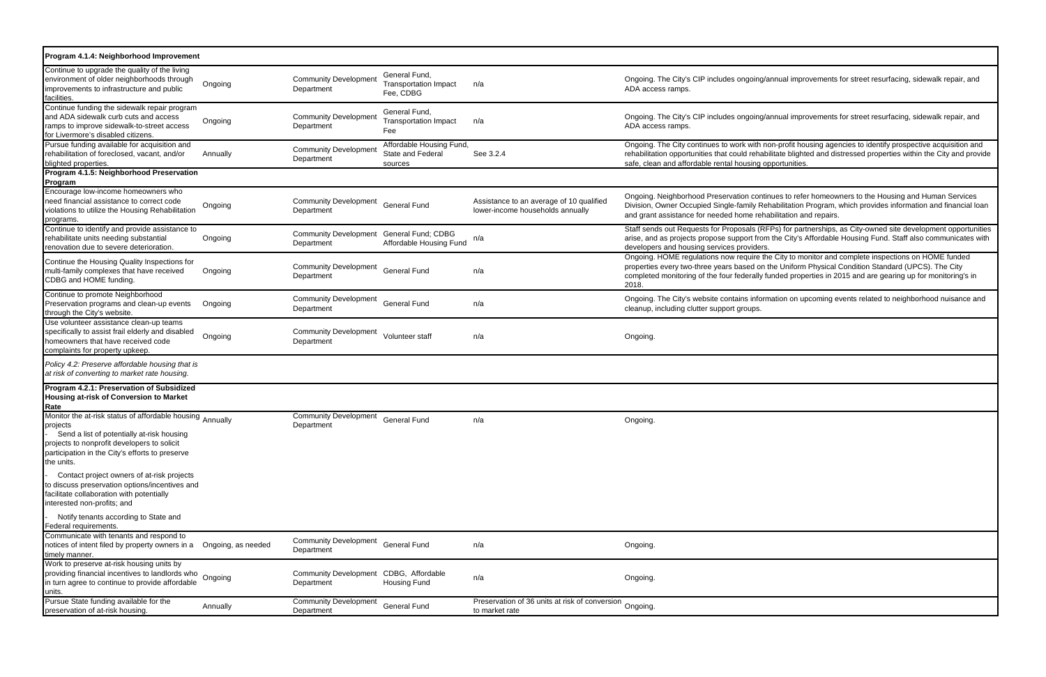Ongoing. HOME regulations now require the City to monitor and complete inspections on HOME funded properties every two-three years based on the Uniform Physical Condition Standard (UPCS). The City funded properties in 2015 and are gearing up for monitoring's in

mation on upcoming events related to neighborhood nuisance and

| Program 4.1.4: Neighborhood Improvement                                                                                                                                                                                             |                    |                                                        |                                                            |                                                                              |                                                                                                                                                    |
|-------------------------------------------------------------------------------------------------------------------------------------------------------------------------------------------------------------------------------------|--------------------|--------------------------------------------------------|------------------------------------------------------------|------------------------------------------------------------------------------|----------------------------------------------------------------------------------------------------------------------------------------------------|
| Continue to upgrade the quality of the living<br>environment of older neighborhoods through<br>improvements to infrastructure and public<br>facilities.                                                                             | Ongoing            | <b>Community Development</b><br>Department             | General Fund,<br><b>Transportation Impact</b><br>Fee, CDBG | n/a                                                                          | Ongoing. The City's CIP includes ongoing/a<br>ADA access ramps.                                                                                    |
| Continue funding the sidewalk repair program<br>and ADA sidewalk curb cuts and access<br>ramps to improve sidewalk-to-street access<br>for Livermore's disabled citizens.                                                           | Ongoing            | <b>Community Development</b><br>Department             | General Fund,<br><b>Transportation Impact</b><br>Fee       | n/a                                                                          | Ongoing. The City's CIP includes ongoing/a<br>ADA access ramps.                                                                                    |
| Pursue funding available for acquisition and<br>rehabilitation of foreclosed, vacant, and/or<br>blighted properties.                                                                                                                | Annually           | <b>Community Development</b><br>Department             | Affordable Housing Fund,<br>State and Federal<br>sources   | See 3.2.4                                                                    | Ongoing. The City continues to work with no<br>rehabilitation opportunities that could rehabi<br>safe, clean and affordable rental housing op      |
| Program 4.1.5: Neighborhood Preservation<br>Program                                                                                                                                                                                 |                    |                                                        |                                                            |                                                                              |                                                                                                                                                    |
| Encourage low-income homeowners who<br>need financial assistance to correct code<br>violations to utilize the Housing Rehabilitation<br>programs.                                                                                   | Ongoing            | <b>Community Development</b><br>Department             | <b>General Fund</b>                                        | Assistance to an average of 10 qualified<br>lower-income households annually | Ongoing. Neighborhood Preservation contir<br>Division, Owner Occupied Single-family Rel<br>and grant assistance for needed home reha               |
| Continue to identify and provide assistance to<br>rehabilitate units needing substantial<br>renovation due to severe deterioration.                                                                                                 | Ongoing            | Community Development General Fund; CDBG<br>Department | Affordable Housing Fund                                    | n/a                                                                          | Staff sends out Requests for Proposals (RF<br>arise, and as projects propose support from<br>developers and housing services providers.            |
| Continue the Housing Quality Inspections for<br>multi-family complexes that have received<br>CDBG and HOME funding.                                                                                                                 | Ongoing            | <b>Community Development</b><br>Department             | <b>General Fund</b>                                        | n/a                                                                          | Ongoing. HOME regulations now require the<br>properties every two-three years based on t<br>completed monitoring of the four federally fu<br>2018. |
| Continue to promote Neighborhood<br>Preservation programs and clean-up events<br>through the City's website.                                                                                                                        | Ongoing            | <b>Community Development</b><br>Department             | <b>General Fund</b>                                        | n/a                                                                          | Ongoing. The City's website contains inform<br>cleanup, including clutter support groups.                                                          |
| Use volunteer assistance clean-up teams<br>specifically to assist frail elderly and disabled<br>homeowners that have received code<br>complaints for property upkeep.                                                               | Ongoing            | <b>Community Development</b><br>Department             | Volunteer staff                                            | n/a                                                                          | Ongoing.                                                                                                                                           |
| Policy 4.2: Preserve affordable housing that is<br>at risk of converting to market rate housing.                                                                                                                                    |                    |                                                        |                                                            |                                                                              |                                                                                                                                                    |
| Program 4.2.1: Preservation of Subsidized<br>Housing at-risk of Conversion to Market<br>Rate                                                                                                                                        |                    |                                                        |                                                            |                                                                              |                                                                                                                                                    |
| Monitor the at-risk status of affordable housing Annually<br>projects<br>Send a list of potentially at-risk housing<br>projects to nonprofit developers to solicit<br>participation in the City's efforts to preserve<br>the units. |                    | <b>Community Development</b><br>Department             | <b>General Fund</b>                                        | n/a                                                                          | Ongoing.                                                                                                                                           |
| Contact project owners of at-risk projects<br>to discuss preservation options/incentives and<br>facilitate collaboration with potentially<br>interested non-profits; and                                                            |                    |                                                        |                                                            |                                                                              |                                                                                                                                                    |
| Notify tenants according to State and<br>Federal requirements.                                                                                                                                                                      |                    |                                                        |                                                            |                                                                              |                                                                                                                                                    |
| Communicate with tenants and respond to<br>notices of intent filed by property owners in a<br>timely manner.                                                                                                                        | Ongoing, as needed | <b>Community Development</b><br>Department             | <b>General Fund</b>                                        | n/a                                                                          | Ongoing.                                                                                                                                           |
| Work to preserve at-risk housing units by<br>providing financial incentives to landlords who Ongoing<br>in turn agree to continue to provide affordable<br>units.                                                                   |                    | Community Development CDBG, Affordable<br>Department   | <b>Housing Fund</b>                                        | n/a                                                                          | Ongoing.                                                                                                                                           |
| Pursue State funding available for the<br>preservation of at-risk housing.                                                                                                                                                          | Annually           | <b>Community Development</b><br>Department             | <b>General Fund</b>                                        | Preservation of 36 units at risk of conversion Ongoing.<br>to market rate    |                                                                                                                                                    |

'annual improvements for street resurfacing, sidewalk repair, and

'annual improvements for street resurfacing, sidewalk repair, and

non-profit housing agencies to identify prospective acquisition and bilitate blighted and distressed properties within the City and provide pportunities.

inues to refer homeowners to the Housing and Human Services ehabilitation Program, which provides information and financial loan abilitation and repairs.

RFPs) for partnerships, as City-owned site development opportunities m the City's Affordable Housing Fund. Staff also communicates with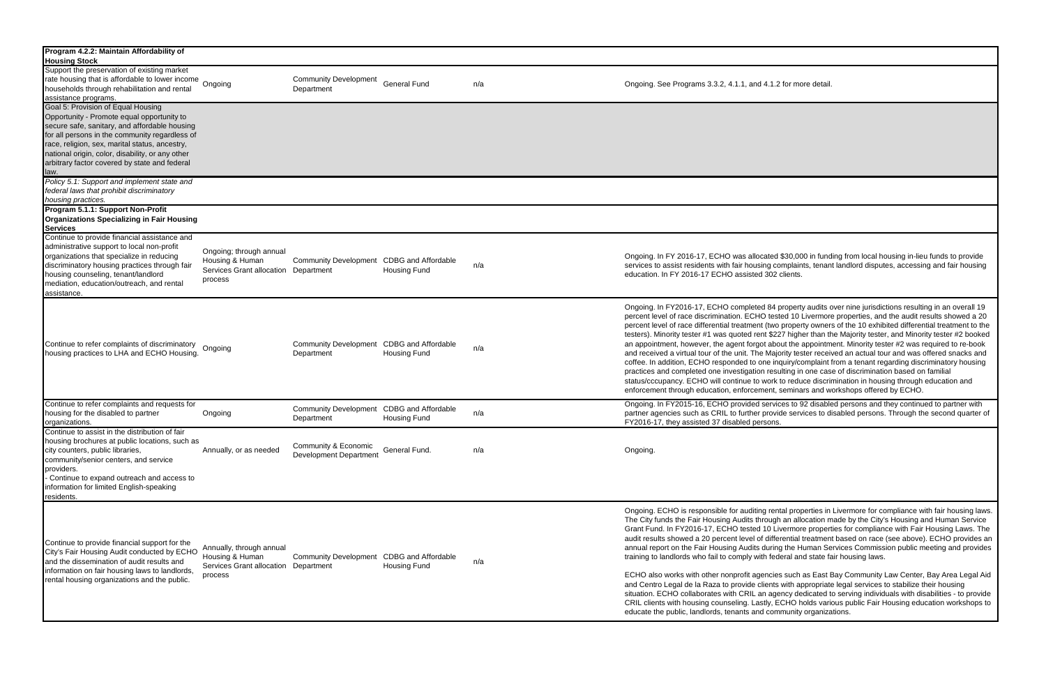| Program 4.2.2: Maintain Affordability of<br><b>Housing Stock</b>                                                                                                                                                                                                                                                                                   |                                                                                                |                                                         |                     |     |                                                                                                                                                                                                                                                                                                                                                                                                                                                                                                                                                                                                                                                                                                                                                 |
|----------------------------------------------------------------------------------------------------------------------------------------------------------------------------------------------------------------------------------------------------------------------------------------------------------------------------------------------------|------------------------------------------------------------------------------------------------|---------------------------------------------------------|---------------------|-----|-------------------------------------------------------------------------------------------------------------------------------------------------------------------------------------------------------------------------------------------------------------------------------------------------------------------------------------------------------------------------------------------------------------------------------------------------------------------------------------------------------------------------------------------------------------------------------------------------------------------------------------------------------------------------------------------------------------------------------------------------|
| Support the preservation of existing market<br>Trate housing that is affordable to lower income<br>Trate housing that is affordable to lower income<br>households through rehabilitation and rental<br>assistance programs.                                                                                                                        |                                                                                                | <b>Community Development</b><br>Department              | <b>General Fund</b> | n/a | Ongoing. See Programs 3.3.2, 4.1.1, and 4.1.2 for more detail.                                                                                                                                                                                                                                                                                                                                                                                                                                                                                                                                                                                                                                                                                  |
| Goal 5: Provision of Equal Housing<br>Opportunity - Promote equal opportunity to<br>secure safe, sanitary, and affordable housing<br>for all persons in the community regardless of<br>race, religion, sex, marital status, ancestry,<br>national origin, color, disability, or any other<br>arbitrary factor covered by state and federal<br>law. |                                                                                                |                                                         |                     |     |                                                                                                                                                                                                                                                                                                                                                                                                                                                                                                                                                                                                                                                                                                                                                 |
| Policy 5.1: Support and implement state and<br>federal laws that prohibit discriminatory<br>housing practices.                                                                                                                                                                                                                                     |                                                                                                |                                                         |                     |     |                                                                                                                                                                                                                                                                                                                                                                                                                                                                                                                                                                                                                                                                                                                                                 |
| Program 5.1.1: Support Non-Profit<br><b>Organizations Specializing in Fair Housing</b><br><b>Services</b>                                                                                                                                                                                                                                          |                                                                                                |                                                         |                     |     |                                                                                                                                                                                                                                                                                                                                                                                                                                                                                                                                                                                                                                                                                                                                                 |
| Continue to provide financial assistance and<br>administrative support to local non-profit<br>organizations that specialize in reducing<br>discriminatory housing practices through fair<br>housing counseling, tenant/landlord<br>mediation, education/outreach, and rental<br>assistance.                                                        | Ongoing; through annual<br>Housing & Human<br>Services Grant allocation Department<br>process  | Community Development CDBG and Affordable               | <b>Housing Fund</b> | n/a | Ongoing. In FY 2016-17, ECHO was allocated \$30,000 in fund<br>services to assist residents with fair housing complaints, tenan<br>education. In FY 2016-17 ECHO assisted 302 clients.                                                                                                                                                                                                                                                                                                                                                                                                                                                                                                                                                          |
| Continue to refer complaints of discriminatory<br>housing practices to LHA and ECHO Housing.                                                                                                                                                                                                                                                       | Ongoing                                                                                        | Community Development CDBG and Affordable<br>Department | <b>Housing Fund</b> | n/a | Ongoing. In FY2016-17, ECHO completed 84 property audits o<br>percent level of race discrimination. ECHO tested 10 Livermore<br>percent level of race differential treatment (two property owner<br>testers). Minority tester #1 was quoted rent \$227 higher than th<br>an appointment, however, the agent forgot about the appointm<br>and received a virtual tour of the unit. The Majority tester receiv<br>coffee. In addition, ECHO responded to one inquiry/complaint<br>practices and completed one investigation resulting in one cas<br>status/cccupancy. ECHO will continue to work to reduce discri<br>enforcement through education, enforcement, seminars and w                                                                   |
| Continue to refer complaints and requests for<br>housing for the disabled to partner<br>organizations.                                                                                                                                                                                                                                             | Ongoing                                                                                        | Community Development CDBG and Affordable<br>Department | <b>Housing Fund</b> | n/a | Ongoing. In FY2015-16, ECHO provided services to 92 disable<br>partner agencies such as CRIL to further provide services to d<br>FY2016-17, they assisted 37 disabled persons.                                                                                                                                                                                                                                                                                                                                                                                                                                                                                                                                                                  |
| Continue to assist in the distribution of fair<br>housing brochures at public locations, such as<br>city counters, public libraries,<br>community/senior centers, and service<br>providers.<br>Continue to expand outreach and access to<br>information for limited English-speaking<br>residents.                                                 | Annually, or as needed                                                                         | Community & Economic<br><b>Development Department</b>   | General Fund.       | n/a | Ongoing.                                                                                                                                                                                                                                                                                                                                                                                                                                                                                                                                                                                                                                                                                                                                        |
| Continue to provide financial support for the<br>City's Fair Housing Audit conducted by ECHO<br>and the dissemination of audit results and<br>information on fair housing laws to landlords,<br>rental housing organizations and the public.                                                                                                       | Annually, through annual<br>Housing & Human<br>Services Grant allocation Department<br>process | Community Development CDBG and Affordable               | <b>Housing Fund</b> | n/a | Ongoing. ECHO is responsible for auditing rental properties in<br>The City funds the Fair Housing Audits through an allocation m<br>Grant Fund. In FY2016-17, ECHO tested 10 Livermore propert<br>audit results showed a 20 percent level of differential treatmen<br>annual report on the Fair Housing Audits during the Human Se<br>training to landlords who fail to comply with federal and state fa<br>ECHO also works with other nonprofit agencies such as East E<br>and Centro Legal de la Raza to provide clients with appropriate<br>situation. ECHO collaborates with CRIL an agency dedicated t<br>CRIL clients with housing counseling. Lastly, ECHO holds varies<br>educate the public, landlords, tenants and community organiza |

ated \$30,000 in funding from local housing in-lieu funds to provide ig complaints, tenant landlord disputes, accessing and fair housing  $\overline{302}$  clients.

84 property audits over nine jurisdictions resulting in an overall 19 tested 10 Livermore properties, and the audit results showed a 20 (two property owners of the 10 exhibited differential treatment to the t \$227 higher than the Majority tester, and Minority tester #2 booked about the appointment. Minority tester #2 was required to re-book Majority tester received an actual tour and was offered snacks and e inquiry/complaint from a tenant regarding discriminatory housing resulting in one case of discrimination based on familial vork to reduce discrimination in housing through education and ent, seminars and workshops offered by ECHO.

ervices to 92 disabled persons and they continued to partner with provide services to disabled persons. Through the second quarter of

rental properties in Livermore for compliance with fair housing laws. ough an allocation made by the City's Housing and Human Service 0 Livermore properties for compliance with Fair Housing Laws. The differential treatment based on race (see above). ECHO provides an luring the Human Services Commission public meeting and provides federal and state fair housing laws.

ncies such as East Bay Community Law Center, Bay Area Legal Aid ents with appropriate legal services to stabilize their housing agency dedicated to serving individuals with disabilities - to provide ly, ECHO holds various public Fair Housing education workshops to community organizations.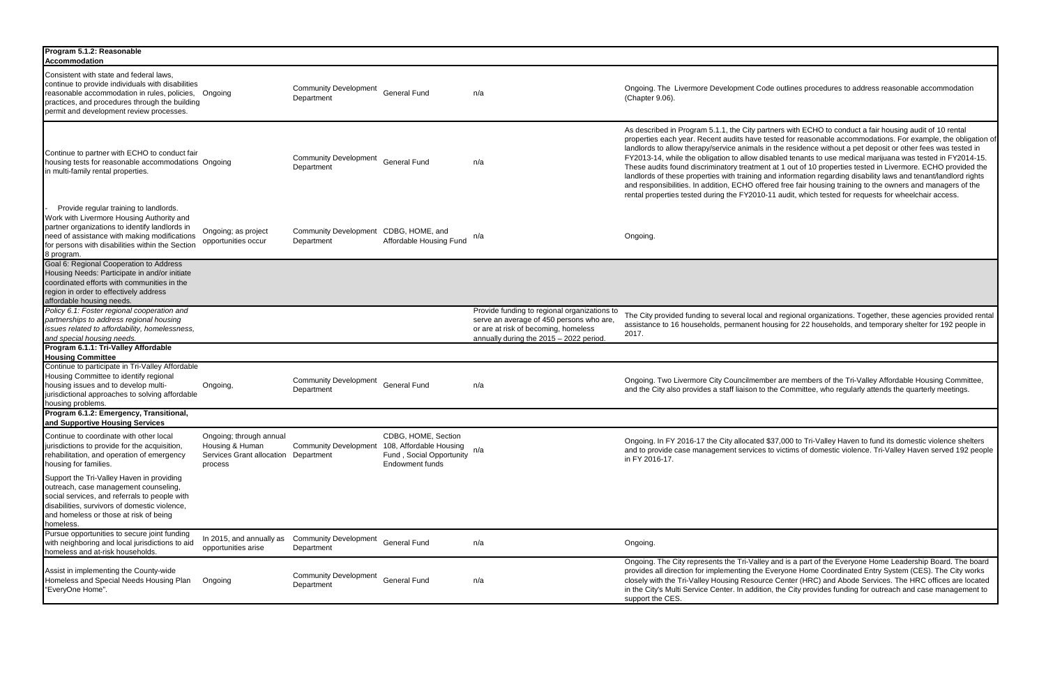| Program 5.1.2: Reasonable<br><b>Accommodation</b>                                                                                                                                                                                                       |                                                                                               |                                            |                                                                                               |                                                                                                                                                                             |                                                                                                                                                                                                                                                                                                                                                                                                                                                                                                                                                                                                                                                                                                                                                                                                                                                                                                                   |
|---------------------------------------------------------------------------------------------------------------------------------------------------------------------------------------------------------------------------------------------------------|-----------------------------------------------------------------------------------------------|--------------------------------------------|-----------------------------------------------------------------------------------------------|-----------------------------------------------------------------------------------------------------------------------------------------------------------------------------|-------------------------------------------------------------------------------------------------------------------------------------------------------------------------------------------------------------------------------------------------------------------------------------------------------------------------------------------------------------------------------------------------------------------------------------------------------------------------------------------------------------------------------------------------------------------------------------------------------------------------------------------------------------------------------------------------------------------------------------------------------------------------------------------------------------------------------------------------------------------------------------------------------------------|
| Consistent with state and federal laws.<br>continue to provide individuals with disabilities<br>reasonable accommodation in rules, policies, Ongoing<br>practices, and procedures through the building<br>permit and development review processes.      |                                                                                               | <b>Community Development</b><br>Department | <b>General Fund</b>                                                                           | n/a                                                                                                                                                                         | Ongoing. The Livermore Development Code outlines procedures to address reasonable accommodation<br>(Chapter 9.06).                                                                                                                                                                                                                                                                                                                                                                                                                                                                                                                                                                                                                                                                                                                                                                                                |
| Continue to partner with ECHO to conduct fair<br>housing tests for reasonable accommodations Ongoing<br>in multi-family rental properties.                                                                                                              |                                                                                               | <b>Community Development</b><br>Department | <b>General Fund</b>                                                                           | n/a                                                                                                                                                                         | As described in Program 5.1.1, the City partners with ECHO to conduct a fair housing audit of 10 rental<br>properties each year. Recent audits have tested for reasonable accommodations. For example, the obligation<br>landlords to allow therapy/service animals in the residence without a pet deposit or other fees was tested in<br>FY2013-14, while the obligation to allow disabled tenants to use medical marijuana was tested in FY2014-15<br>These audits found discriminatory treatment at 1 out of 10 properties tested in Livermore. ECHO provided the<br>landlords of these properties with training and information regarding disability laws and tenant/landlord rights<br>and responsibilities. In addition, ECHO offered free fair housing training to the owners and managers of the<br>rental properties tested during the FY2010-11 audit, which tested for requests for wheelchair access. |
| Provide regular training to landlords.<br>Work with Livermore Housing Authority and<br>partner organizations to identify landlords in<br>need of assistance with making modifications<br>for persons with disabilities within the Section<br>8 program. | Ongoing; as project<br>opportunities occur                                                    | <b>Community Development</b><br>Department | CDBG, HOME, and<br>Affordable Housing Fund                                                    | n/a                                                                                                                                                                         | Ongoing.                                                                                                                                                                                                                                                                                                                                                                                                                                                                                                                                                                                                                                                                                                                                                                                                                                                                                                          |
| Goal 6: Regional Cooperation to Address<br>Housing Needs: Participate in and/or initiate<br>coordinated efforts with communities in the<br>region in order to effectively address<br>affordable housing needs.                                          |                                                                                               |                                            |                                                                                               |                                                                                                                                                                             |                                                                                                                                                                                                                                                                                                                                                                                                                                                                                                                                                                                                                                                                                                                                                                                                                                                                                                                   |
| Policy 6.1: Foster regional cooperation and<br>partnerships to address regional housing<br>issues related to affordability, homelessness,<br>and special housing needs.                                                                                 |                                                                                               |                                            |                                                                                               | Provide funding to regional organizations to<br>serve an average of 450 persons who are,<br>or are at risk of becoming, homeless<br>annually during the 2015 - 2022 period. | The City provided funding to several local and regional organizations. Together, these agencies provided rer<br>assistance to 16 households, permanent housing for 22 households, and temporary shelter for 192 people in<br>2017.                                                                                                                                                                                                                                                                                                                                                                                                                                                                                                                                                                                                                                                                                |
| Program 6.1.1: Tri-Valley Affordable<br><b>Housing Committee</b>                                                                                                                                                                                        |                                                                                               |                                            |                                                                                               |                                                                                                                                                                             |                                                                                                                                                                                                                                                                                                                                                                                                                                                                                                                                                                                                                                                                                                                                                                                                                                                                                                                   |
| Continue to participate in Tri-Valley Affordable<br>Housing Committee to identify regional<br>housing issues and to develop multi-<br>jurisdictional approaches to solving affordable<br>housing problems.                                              | Ongoing,                                                                                      | <b>Community Development</b><br>Department | <b>General Fund</b>                                                                           | n/a                                                                                                                                                                         | Ongoing. Two Livermore City Councilmember are members of the Tri-Valley Affordable Housing Committee,<br>and the City also provides a staff liaison to the Committee, who regularly attends the quarterly meetings.                                                                                                                                                                                                                                                                                                                                                                                                                                                                                                                                                                                                                                                                                               |
| Program 6.1.2: Emergency, Transitional,<br>and Supportive Housing Services                                                                                                                                                                              |                                                                                               |                                            |                                                                                               |                                                                                                                                                                             |                                                                                                                                                                                                                                                                                                                                                                                                                                                                                                                                                                                                                                                                                                                                                                                                                                                                                                                   |
| Continue to coordinate with other local<br>jurisdictions to provide for the acquisition,<br>rehabilitation, and operation of emergency<br>housing for families.                                                                                         | Ongoing; through annual<br>Housing & Human<br>Services Grant allocation Department<br>process | <b>Community Development</b>               | CDBG, HOME, Section<br>108, Affordable Housing<br>Fund, Social Opportunity<br>Endowment funds | n/a                                                                                                                                                                         | Ongoing. In FY 2016-17 the City allocated \$37,000 to Tri-Valley Haven to fund its domestic violence shelters<br>and to provide case management services to victims of domestic violence. Tri-Valley Haven served 192 peop<br>in FY 2016-17.                                                                                                                                                                                                                                                                                                                                                                                                                                                                                                                                                                                                                                                                      |
| Support the Tri-Valley Haven in providing<br>outreach, case management counseling,<br>social services, and referrals to people with<br>disabilities, survivors of domestic violence,<br>and homeless or those at risk of being<br>homeless.             |                                                                                               |                                            |                                                                                               |                                                                                                                                                                             |                                                                                                                                                                                                                                                                                                                                                                                                                                                                                                                                                                                                                                                                                                                                                                                                                                                                                                                   |
| Pursue opportunities to secure joint funding<br>with neighboring and local jurisdictions to aid<br>homeless and at-risk households.                                                                                                                     | In 2015, and annually as<br>opportunities arise                                               | <b>Community Development</b><br>Department | <b>General Fund</b>                                                                           | n/a                                                                                                                                                                         | Ongoing.                                                                                                                                                                                                                                                                                                                                                                                                                                                                                                                                                                                                                                                                                                                                                                                                                                                                                                          |
| Assist in implementing the County-wide<br>Homeless and Special Needs Housing Plan<br>"EveryOne Home".                                                                                                                                                   | Ongoing                                                                                       | <b>Community Development</b><br>Department | <b>General Fund</b>                                                                           | n/a                                                                                                                                                                         | Ongoing. The City represents the Tri-Valley and is a part of the Everyone Home Leadership Board. The boar<br>provides all direction for implementing the Everyone Home Coordinated Entry System (CES). The City works<br>closely with the Tri-Valley Housing Resource Center (HRC) and Abode Services. The HRC offices are locate<br>in the City's Multi Service Center. In addition, the City provides funding for outreach and case management to<br>support the CES.                                                                                                                                                                                                                                                                                                                                                                                                                                           |

rtners with ECHO to conduct a fair housing audit of 10 rental ested for reasonable accommodations. For example, the obligation of in the residence without a pet deposit or other fees was tested in sabled tenants to use medical marijuana was tested in FY2014-15. nt at 1 out of 10 properties tested in Livermore. ECHO provided the and information regarding disability laws and tenant/landlord rights ered free fair housing training to the owners and managers of the -11 audit, which tested for requests for wheelchair access.